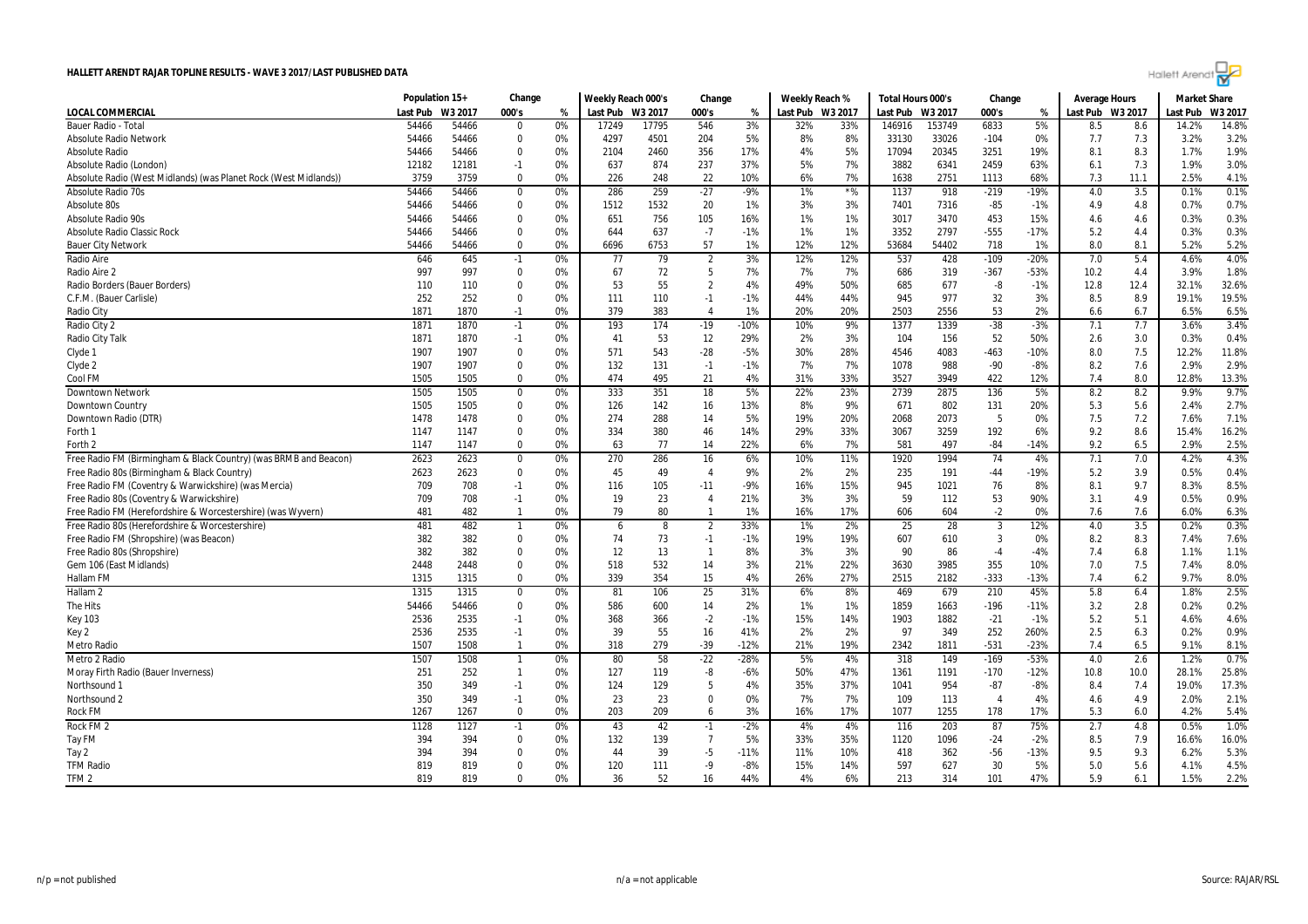

|                                                                  | Population 15+ |         | Change         |       | Weekly Reach 000's |         | Change                  |        |          | Weekly Reach % | Total Hours 000's |         | Change                 |        | <b>Average Hours</b> |      | <b>Market Share</b> |         |
|------------------------------------------------------------------|----------------|---------|----------------|-------|--------------------|---------|-------------------------|--------|----------|----------------|-------------------|---------|------------------------|--------|----------------------|------|---------------------|---------|
| LOCAL COMMERCIAL                                                 | Last Pub       | W3 2017 | 000's          | %     | Last Pub           | W3 2017 | 000's                   | %      | Last Pub | W3 2017        | Last Pub          | W3 2017 | 000's                  | %      | Last Pub W3 2017     |      | Last Pub            | W3 2017 |
| Bauer Radio - Tota                                               | 54466          | 54466   | $\mathbf{0}$   | 0%    | 17249              | 17795   | 546                     | 3%     | 32%      | 33%            | 146916            | 153749  | 6833                   | 5%     | 8.5                  | 8.6  | 14.2%               | 14.8%   |
| <b>Absolute Radio Network</b>                                    | 54466          | 54466   | $\overline{0}$ | 0%    | 4297               | 4501    | 204                     | 5%     | 8%       | 8%             | 33130             | 33026   | $-104$                 | 0%     | 7.7                  | 7.3  | 3.2%                | 3.2%    |
| <b>Absolute Radio</b>                                            | 54466          | 54466   | 0              | 0%    | 2104               | 2460    | 356                     | 17%    | 4%       | 5%             | 17094             | 20345   | 3251                   | 19%    | 8.1                  | 8.3  | 1.7%                | 1.9%    |
| Absolute Radio (London)                                          | 12182          | 12181   | $-1$           | 0%    | 637                | 874     | 237                     | 37%    | 5%       | 7%             | 3882              | 6341    | 2459                   | 63%    | 6.1                  | 7.3  | 1.9%                | 3.0%    |
| Absolute Radio (West Midlands) (was Planet Rock (West Midlands)) | 3759           | 3759    | $\mathbf{0}$   | 0%    | 226                | 248     | 22                      | 10%    | 6%       | 7%             | 1638              | 2751    | 1113                   | 68%    | 7.3                  | 11.1 | 2.5%                | 4.1%    |
| <b>Absolute Radio 70s</b>                                        | 54466          | 54466   | $\mathbf 0$    | 0%    | 286                | 259     | $-27$                   | $-9%$  | 1%       | $*$ %          | 1137              | 918     | $-219$                 | $-19%$ | 4.0                  | 3.5  | 0.1%                | 0.1%    |
| Absolute 80s                                                     | 54466          | 54466   | $\mathbf 0$    | 0%    | 1512               | 1532    | 20                      | $1\%$  | 3%       | 3%             | 7401              | 7316    | $-85$                  | $-1%$  | 4.9                  | 4.8  | 0.7%                | 0.7%    |
| Absolute Radio 90s                                               | 54466          | 54466   | $\mathbf 0$    | 0%    | 651                | 756     | 105                     | 16%    | 1%       | 1%             | 3017              | 3470    | 453                    | 15%    | 4.6                  | 4.6  | 0.3%                | 0.3%    |
| Absolute Radio Classic Rock                                      | 54466          | 54466   | 0              | 0%    | 644                | 637     | $-7$                    | $-1%$  | 1%       | 1%             | 3352              | 2797    | $-555$                 | $-17%$ | 5.2                  | 4.4  | 0.3%                | 0.3%    |
| <b>Bauer City Network</b>                                        | 54466          | 54466   | $\mathbf 0$    | 0%    | 6696               | 6753    | 57                      | 1%     | 12%      | 12%            | 53684             | 54402   | 718                    | 1%     | 8.0                  | 8.1  | 5.2%                | 5.2%    |
| Radio Aire                                                       | 646            | 645     | $-1$           | 0%    | 77                 | 79      | $\overline{2}$          | 3%     | 12%      | 12%            | 537               | 428     | $-109$                 | $-20%$ | 7.0                  | 5.4  | 4.6%                | 4.0%    |
| Radio Aire 2                                                     | 997            | 997     | $\mathbf 0$    | 0%    | 67                 | 72      | 5                       | 7%     | 7%       | 7%             | 686               | 319     | $-367$                 | $-53%$ | 10.2                 | 4.4  | 3.9%                | 1.8%    |
| Radio Borders (Bauer Borders)                                    | 110            | 110     | $\mathbf{0}$   | 0%    | 53                 | 55      | $\overline{2}$          | 4%     | 49%      | 50%            | 685               | 677     | $-8$                   | $-1%$  | 12.8                 | 12.4 | 32.1%               | 32.6%   |
| C.F.M. (Bauer Carlisle)                                          | 252            | 252     | $\mathbf{0}$   | 0%    | 111                | 110     | $-1$                    | $-1%$  | 44%      | 44%            | 945               | 977     | 32                     | 3%     | 8.5                  | 8.9  | 19.1%               | 19.5%   |
| Radio City                                                       | 1871           | 1870    | $-1$           | 0%    | 379                | 383     | $\overline{4}$          | 1%     | 20%      | 20%            | 2503              | 2556    | 53                     | 2%     | 6.6                  | 6.7  | 6.5%                | 6.5%    |
| Radio City 2                                                     | 1871           | 1870    | $-1$           | 0%    | 193                | 174     | $-19$                   | -10%   | 10%      | 9%             | 1377              | 1339    | $-38$                  | $-3%$  | 7.1                  | 7.7  | 3.6%                | 3.4%    |
| Radio City Talk                                                  | 1871           | 1870    | $-1$           | 0%    | 41                 | 53      | 12                      | 29%    | 2%       | 3%             | 104               | 156     | 52                     | 50%    | 2.6                  | 3.0  | 0.3%                | 0.4%    |
| Clyde 1                                                          | 1907           | 1907    | $\mathbf 0$    | 0%    | 571                | 543     | $-28$                   | $-5%$  | 30%      | 28%            | 4546              | 4083    | $-463$                 | $-10%$ | 8.0                  | 7.5  | 12.2%               | 11.8%   |
| Clyde 2                                                          | 1907           | 1907    | $\mathbf 0$    | 0%    | 132                | 131     | $-1$                    | $-1%$  | 7%       | 7%             | 1078              | 988     | $-90$                  | $-8%$  | 8.2                  | 7.6  | 2.9%                | 2.9%    |
| Cool FM                                                          | 1505           | 1505    | $\mathbf{0}$   | 0%    | 474                | 495     | 21                      | 4%     | 31%      | 33%            | 3527              | 3949    | 422                    | 12%    | 7.4                  | 8.0  | 12.8%               | 13.3%   |
| <b>Downtown Network</b>                                          | 1505           | 1505    | $\mathbf 0$    | 0%    | 333                | 351     | 18                      | 5%     | 22%      | 23%            | 2739              | 2875    | 136                    | 5%     | 8.2                  | 8.2  | 9.9%                | 9.7%    |
| Downtown Country                                                 | 1505           | 1505    | $\mathbf 0$    | 0%    | 126                | 142     | 16                      | 13%    | 8%       | 9%             | 671               | 802     | 131                    | 20%    | 5.3                  | 5.6  | 2.4%                | 2.7%    |
| Downtown Radio (DTR)                                             | 1478           | 1478    | $\mathbf 0$    | 0%    | 274                | 288     | 14                      | 5%     | 19%      | 20%            | 2068              | 2073    | -5                     | 0%     | 7.5                  | 7.2  | 7.6%                | 7.1%    |
| Forth 1                                                          | 1147           | 1147    | 0              | 0%    | 334                | 380     | 46                      | 14%    | 29%      | 33%            | 3067              | 3259    | 192                    | 6%     | 9.2                  | 8.6  | 15.4%               | 16.2%   |
| Forth 2                                                          | 1147           | 1147    | $\Omega$       | 0%    | 63                 | 77      | 14                      | 22%    | 6%       | 7%             | 581               | 497     | $-84$                  | $-14%$ | 9.2                  | 6.5  | 2.9%                | 2.5%    |
| Free Radio FM (Birmingham & Black Country) (was BRMB and Beacon) | 2623           | 2623    | $\mathbf 0$    | $0\%$ | 270                | 286     | 16                      | 6%     | 10%      | 11%            | 1920              | 1994    | 74                     | 4%     | 7.1                  | 7.0  | 4.2%                | 4.3%    |
| Free Radio 80s (Birmingham & Black Country)                      | 2623           | 2623    | $\mathbf 0$    | 0%    | 45                 | 49      | $\overline{4}$          | 9%     | 2%       | 2%             | 235               | 191     | $-44$                  | $-19%$ | 5.2                  | 3.9  | 0.5%                | 0.4%    |
| Free Radio FM (Coventry & Warwickshire) (was Mercia)             | 709            | 708     | $-1$           | 0%    | 116                | 105     | $-11$                   | $-9%$  | 16%      | 15%            | 945               | 1021    | 76                     | 8%     | 8.1                  | 9.7  | 8.3%                | 8.5%    |
| Free Radio 80s (Coventry & Warwickshire)                         | 709            | 708     | $-1$           | 0%    | 19                 | 23      | $\overline{4}$          | 21%    | 3%       | 3%             | 59                | 112     | 53                     | 90%    | 3.1                  | 4.9  | 0.5%                | 0.9%    |
| Free Radio FM (Herefordshire & Worcestershire) (was Wyvern)      | 481            | 482     | $\overline{1}$ | 0%    | 79                 | 80      | $\mathbf{1}$            | 1%     | 16%      | 17%            | 606               | 604     | $-2$                   | 0%     | 7.6                  | 7.6  | 6.0%                | 6.3%    |
| Free Radio 80s (Herefordshire & Worcestershire)                  | 481            | 482     | $\mathbf{1}$   | 0%    | 6                  | 8       | $\overline{2}$          | 33%    | 1%       | 2%             | 25                | 28      | 3                      | 12%    | 4.0                  | 3.5  | 0.2%                | 0.3%    |
| Free Radio FM (Shropshire) (was Beacon)                          | 382            | 382     | $\mathbf 0$    | 0%    | 74                 | 73      | $-1$                    | $-1%$  | 19%      | 19%            | 607               | 610     | 3                      | 0%     | 8.2                  | 8.3  | 7.4%                | 7.6%    |
| Free Radio 80s (Shropshire)                                      | 382            | 382     | $\mathbf 0$    | 0%    | 12                 | 13      | $\overline{\mathbf{1}}$ | 8%     | 3%       | 3%             | 90                | 86      | $-4$                   | $-4%$  | 7.4                  | 6.8  | 1.1%                | 1.1%    |
| Gem 106 (East Midlands)                                          | 2448           | 2448    | $\mathbf 0$    | 0%    | 518                | 532     | 14                      | 3%     | 21%      | 22%            | 3630              | 3985    | 355                    | 10%    | 7.0                  | 7.5  | 7.4%                | 8.0%    |
| <b>Hallam FM</b>                                                 | 1315           | 1315    | $\mathbf 0$    | 0%    | 339                | 354     | 15                      | 4%     | 26%      | 27%            | 2515              | 2182    | $-333$                 | $-13%$ | 7.4                  | 6.2  | 9.7%                | 8.0%    |
| Hallam <sub>2</sub>                                              | 1315           | 1315    | 0              | 0%    | 81                 | 106     | 25                      | 31%    | 6%       | 8%             | 469               | 679     | 210                    | 45%    | 5.8                  | 6.4  | 1.8%                | 2.5%    |
| The Hits                                                         | 54466          | 54466   | $\mathbf 0$    | 0%    | 586                | 600     | 14                      | 2%     | 1%       | 1%             | 1859              | 1663    | $-196$                 | $-11%$ | 3.2                  | 2.8  | 0.2%                | 0.2%    |
| <b>Key 103</b>                                                   | 2536           | 2535    | $-1$           | 0%    | 368                | 366     | $-2$                    | $-1%$  | 15%      | 14%            | 1903              | 1882    | $-21$                  | $-1%$  | 5.2                  | 5.1  | 4.6%                | 4.6%    |
| Key 2                                                            | 2536           | 2535    | $-1$           | 0%    | 39                 | 55      | 16                      | 41%    | 2%       | 2%             | 97                | 349     | 252                    | 260%   | 2.5                  | 6.3  | 0.2%                | 0.9%    |
| <b>Metro Radio</b>                                               | 1507           | 1508    | $\overline{1}$ | 0%    | 318                | 279     | $-39$                   | $-12%$ | 21%      | 19%            | 2342              | 1811    | $-531$                 | $-23%$ | 7.4                  | 6.5  | 9.1%                | 8.1%    |
| Metro 2 Radio                                                    | 1507           | 1508    | $\overline{1}$ | 0%    | 80                 | 58      | $-22$                   | -28%   | 5%       | 4%             | 318               | 149     | $-169$                 | $-53%$ | 4.0                  | 2.6  | 1.2%                | 0.7%    |
| Moray Firth Radio (Bauer Inverness)                              | 251            | 252     | $\overline{1}$ | 0%    | 127                | 119     | -8                      | -6%    | 50%      | 47%            | 1361              | 1191    | $-170$                 | $-12%$ | 10.8                 | 10.0 | 28.1%               | 25.8%   |
| Northsound                                                       | 350            | 349     | $-1$           | 0%    | 124                | 129     | 5                       | 4%     | 35%      | 37%            | 1041              | 954     | $-87$                  | $-8%$  | 8.4                  | 7.4  | 19.0%               | 17.3%   |
| Northsound 2                                                     | 350            | 349     | $-1$           | 0%    | 23                 | 23      | $\overline{0}$          | 0%     | 7%       | 7%             | 109               | 113     | $\boldsymbol{\Lambda}$ | 4%     | 4.6                  | 4.9  | 2.0%                | 2.1%    |
| <b>Rock FM</b>                                                   | 1267           | 1267    | $\mathbf 0$    | 0%    | 203                | 209     | 6                       | 3%     | 16%      | 17%            | 1077              | 1255    | 178                    | 17%    | 5.3                  | 6.0  | 4.2%                | 5.4%    |
| Rock FM <sub>2</sub>                                             | 1128           | 1127    | $-1$           | $0\%$ | 43                 | 42      | $-1$                    | $-2%$  | 4%       | 4%             | 116               | 203     | 87                     | 75%    | 2.7                  | 4.8  | 0.5%                | 1.0%    |
| Tay FM                                                           | 394            | 394     | $\mathbf 0$    | 0%    | 132                | 139     | $\overline{7}$          | 5%     | 33%      | 35%            | 1120              | 1096    | $-24$                  | $-2%$  | 8.5                  | 7.9  | 16.6%               | 16.0%   |
| Tay 2                                                            | 394            | 394     | 0              | 0%    | 44                 | 39      | $-5$                    | $-11%$ | 11%      | 10%            | 418               | 362     | $-56$                  | $-13%$ | 9.5                  | 9.3  | 6.2%                | 5.3%    |
| <b>TFM Radio</b>                                                 | 819            | 819     | $\mathbf 0$    | 0%    | 120                | 111     | -9                      | -8%    | 15%      | 14%            | 597               | 627     | 30                     | 5%     | 5.0                  | 5.6  | 4.1%                | 4.5%    |
| TFM <sub>2</sub>                                                 | 819            | 819     | $\Omega$       | 0%    | 36                 | 52      | 16                      | 44%    | 4%       | 6%             | 213               | 314     | 101                    | 47%    | 5.9                  | 6.1  | 1.5%                | 2.2%    |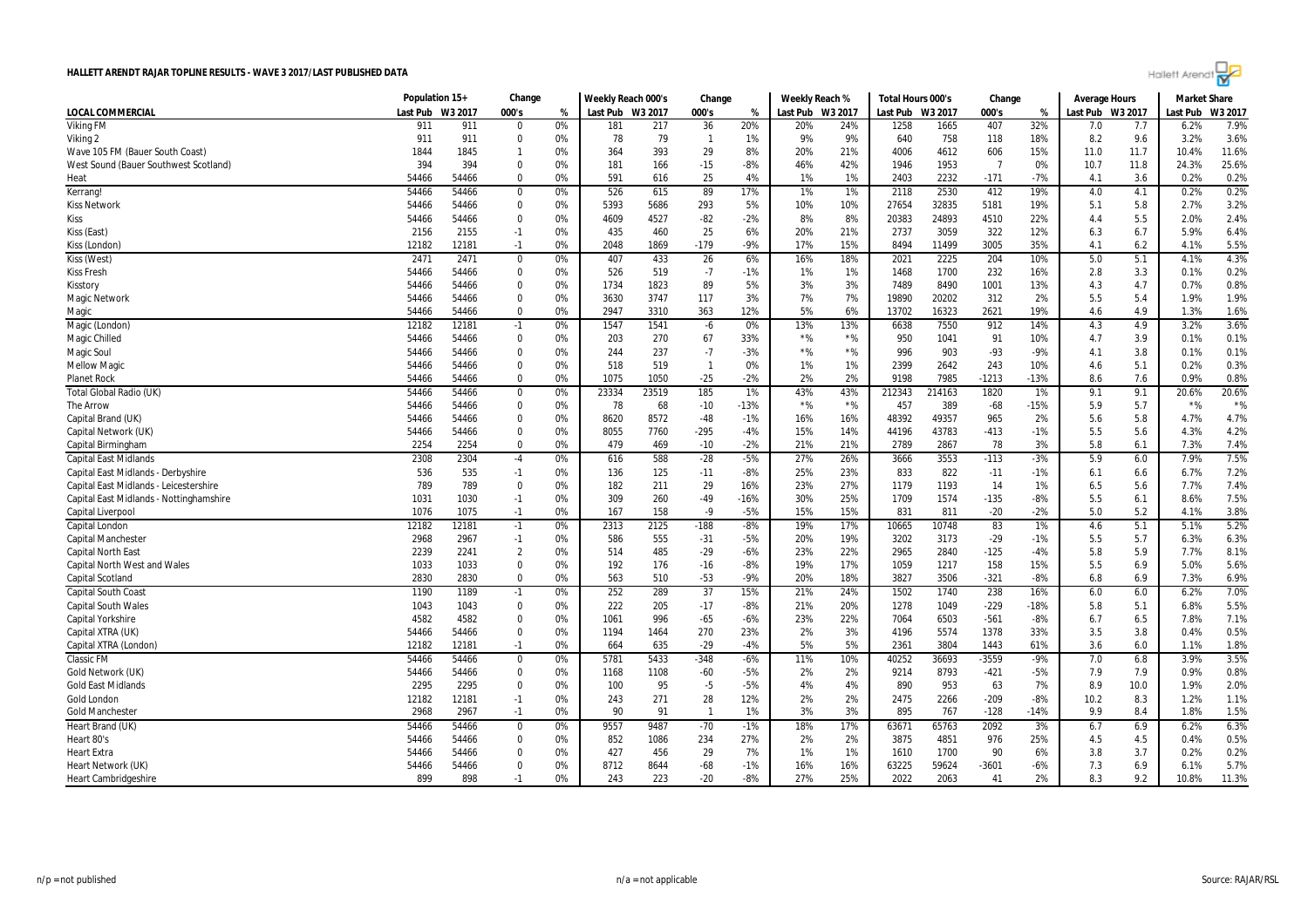

|                                         | Population 15+ |              | Change              |          | Weekly Reach 000's |            | Change         |                 |            | Weekly Reach % | Total Hours 000's |             | Change          |                | <b>Average Hours</b> |            | <b>Market Share</b> |              |
|-----------------------------------------|----------------|--------------|---------------------|----------|--------------------|------------|----------------|-----------------|------------|----------------|-------------------|-------------|-----------------|----------------|----------------------|------------|---------------------|--------------|
| LOCAL COMMERCIAL                        | Last Pub       | W3 2017      | 000's               | %        | Last Pub           | W3 2017    | 000's          | %               | Last Pub   | W3 2017        | Last Pub          | W3 2017     | 000's           | %              | Last Pub W3 2017     |            | Last Pub            | W3 2017      |
| <b>Viking FM</b>                        | 911            | 911          | $\Omega$            | 0%       | 181                | 217        | 36             | 20%             | 20%        | 24%            | 1258              | 1665        | 407             | 32%            | 7.0                  | 7.7        | 6.2%                | 7.9%         |
| Viking 2                                | 911            | 911          | $\overline{0}$      | 0%       | 78                 | 79         | $\overline{1}$ | 1%              | 9%         | 9%             | 640               | 758         | 118             | 18%            | 8.2                  | 9.6        | 3.2%                | 3.6%         |
| Wave 105 FM (Bauer South Coast)         | 1844           | 1845         | -1                  | 0%       | 364                | 393        | 29             | 8%              | 20%        | 21%            | 4006              | 4612        | 606             | 15%            | 11.0                 | 11.7       | 10.4%               | 11.6%        |
| West Sound (Bauer Southwest Scotland)   | 394            | 394          | $\mathbf{0}$        | 0%       | 181                | 166        | $-15$          | -8%             | 46%        | 42%            | 1946              | 1953        | - 7             | 0%             | 10.7                 | 11.8       | 24.3%               | 25.6%        |
| Heat                                    | 54466          | 54466        | $\mathbf 0$         | 0%       | 591                | 616        | 25             | 4%              | 1%         | 1%             | 2403              | 2232        | $-171$          | $-7%$          | 4.1                  | 3.6        | 0.2%                | 0.2%         |
| Kerrang!                                | 54466          | 54466        | 0                   | 0%       | 526                | 615        | 89             | 17%             | 1%         | 1%             | 2118              | 2530        | 412             | 19%            | 4.0                  | 4.1        | 0.2%                | 0.2%         |
| <b>Kiss Network</b>                     | 54466          | 54466        | $\mathbf{0}$        | 0%       | 5393               | 5686       | 293            | 5%              | 10%        | 10%            | 27654             | 32835       | 5181            | 19%            | 5.1                  | 5.8        | 2.7%                | 3.2%         |
| Kiss                                    | 54466          | 54466        | $\mathbf 0$         | 0%       | 4609               | 4527       | $-82$          | $-2%$           | 8%         | 8%             | 20383             | 24893       | 4510            | 22%            | 4.4                  | 5.5        | 2.0%                | 2.4%         |
| Kiss (East)                             | 2156           | 2155         | $-1$                | 0%       | 435                | 460        | 25             | 6%              | 20%        | 21%            | 2737              | 3059        | 322             | 12%            | 6.3                  | 6.7        | 5.9%                | 6.4%         |
| Kiss (London                            | 12182          | 12181        | $-1$                | 0%       | 2048               | 1869       | $-179$         | -9%             | 17%        | 15%            | 8494              | 11499       | 3005            | 35%            | 4.1                  | 6.2        | 4.1%                | 5.5%         |
| Kiss (West)                             | 2471           | 2471         | $\mathbf 0$         | 0%       | 407                | 433        | 26             | 6%              | 16%        | 18%            | 2021              | 2225        | 204             | 10%            | 5.0                  | 5.1        | 4.1%                | 4.3%         |
| <b>Kiss Fresh</b>                       | 54466          | 54466        | $\mathbf 0$         | 0%       | 526                | 519        | $-7$           | $-1%$           | 1%         | 1%             | 1468              | 1700        | 232             | 16%            | 2.8                  | 3.3        | 0.1%                | 0.2%         |
| Kisstory                                | 54466          | 54466        | $\mathbf 0$         | 0%       | 1734               | 1823       | 89             | 5%              | 3%         | 3%             | 7489              | 8490        | 1001            | 13%            | 4.3                  | 4.7        | 0.7%                | 0.8%         |
| <b>Magic Network</b>                    | 54466          | 54466        | $\overline{0}$      | 0%       | 3630               | 3747       | 117            | 3%              | 7%         | 7%             | 19890             | 20202       | 312             | 2%             | 5.5                  | 5.4        | 1.9%                | 1.9%         |
| Magic                                   | 54466          | 54466        | 0                   | 0%       | 2947               | 3310       | 363            | 12%             | 5%         | 6%             | 13702             | 16323       | 2621            | 19%            | 4.6                  | 4.9        | 1.3%                | 1.6%         |
| Magic (London)                          | 12182          | 12181        | $-1$                | 0%       | 1547               | 1541       | $-6$           | 0%              | 13%        | 13%            | 6638              | 7550        | 912             | 14%            | 4.3                  | 4.9        | 3.2%                | 3.6%         |
| Magic Chilled                           | 54466          | 54466        | $\mathbf 0$         | 0%       | 203                | 270        | 67             | 33%             | $*$ %      | $*$ %          | 950               | 1041        | 91              | 10%            | 4.7                  | 3.9        | 0.1%                | 0.1%         |
| Magic Soul                              | 54466          | 54466        | $\overline{0}$      | 0%       | 244                | 237        | $-7$           | $-3%$           | $*$ %      | $*$ %          | 996               | 903         | $-93$           | $-9%$          | 4.1                  | 3.8        | 0.1%                | 0.1%         |
| <b>Mellow Magic</b>                     | 54466          | 54466        | $\mathbf 0$         | 0%       | 518                | 519        | $\overline{1}$ | 0%              | 1%         | 1%             | 2399              | 2642        | 243             | 10%            | 4.6                  | 5.1        | 0.2%                | 0.3%         |
| <b>Planet Rock</b>                      | 54466          | 54466        | $\mathbf 0$         | 0%       | 1075               | 1050       | $-25$          | $-2%$           | 2%         | 2%             | 9198              | 7985        | $-1213$         | $-13%$         | 8.6                  | 7.6        | 0.9%                | 0.8%         |
| Total Global Radio (UK)                 | 54466          | 54466        | $\mathbf 0$         | 0%       | 23334              | 23519      | 185            | $1\%$           | 43%        | 43%            | 212343            | 214163      | 1820            | 1%             | 9.1                  | 9.1        | 20.6%               | 20.6%        |
| The Arrow                               | 54466          | 54466        | $\mathbf 0$         | 0%       | 78                 | 68         | $-10$          | $-13%$          | $*$ %      | $*96$          | 457               | 389         | $-68$           | $-15%$         | 5.9                  | 5.7        | $*$ %               | $*$ %        |
| Capital Brand (UK)                      | 54466          | 54466        | 0                   | 0%       | 8620               | 8572       | $-48$          | $-1%$           | 16%        | 16%            | 48392             | 49357       | 965             | 2%             | 5.6                  | 5.8        | 4.7%                | 4.7%         |
| Capital Network (UK)                    | 54466          | 54466        | 0                   | 0%       | 8055               | 7760       | -295           | -4%             | 15%        | 14%            | 44196             | 43783       | $-413$          | $-1%$          | 5.5                  | 5.6        | 4.3%                | 4.2%         |
| Capital Birmingham                      | 2254           | 2254         | $\Omega$            | 0%       | 479                | 469        | $-10$          | $-2%$           | 21%        | 21%            | 2789              | 2867        | 78              | 3%             | 5.8                  | 6.1        | 7.3%                | 7.4%         |
| <b>Capital East Midlands</b>            | 2308           | 2304         | $-4$                | 0%       | 616                | 588        | $-28$          | $-5%$           | 27%        | 26%            | 3666              | 3553        | $-113$          | $-3%$          | 5.9                  | 6.0        | 7.9%                | 7.5%         |
|                                         |                |              |                     |          |                    |            |                |                 |            | 23%            |                   |             |                 |                |                      |            |                     |              |
| Capital East Midlands - Derbyshire      | 536<br>789     | 535<br>789   | $-1$<br>$\mathbf 0$ | 0%<br>0% | 136<br>182         | 125<br>211 | $-11$<br>29    | $-8%$<br>16%    | 25%<br>23% | 27%            | 833<br>1179       | 822<br>1193 | $-11$<br>14     | $-1%$<br>1%    | 6.1                  | 6.6<br>5.6 | 6.7%                | 7.2%<br>7.4% |
| Capital East Midlands - Leicestershire  |                |              |                     |          |                    |            |                |                 |            | 25%            | 1709              |             |                 |                | 6.5                  |            | 7.7%                | 7.5%         |
| Capital East Midlands - Nottinghamshire | 1031<br>1076   | 1030<br>1075 | $-1$                | 0%<br>0% | 309                | 260<br>158 | $-49$<br>$-9$  | $-16%$<br>$-5%$ | 30%<br>15% | 15%            | 831               | 1574<br>811 | $-135$<br>$-20$ | $-8%$<br>$-2%$ | 5.5<br>5.0           | 6.1<br>5.2 | 8.6%<br>4.1%        | 3.8%         |
| Capital Liverpool                       |                |              | $-1$                |          | 167                |            |                |                 |            |                |                   |             |                 |                |                      |            |                     |              |
| Capital London                          | 12182          | 12181        | $-1$                | 0%       | 2313               | 2125       | $-188$         | $-8%$           | 19%        | 17%            | 10665             | 10748       | 83              | 1%             | 4.6                  | 5.1        | 5.1%                | 5.2%         |
| Capital Manchester                      | 2968           | 2967         | $-1$                | 0%       | 586                | 555        | $-31$          | $-5%$           | 20%        | 19%            | 3202              | 3173        | $-29$           | $-1%$          | 5.5                  | 5.7        | 6.3%                | 6.3%         |
| <b>Capital North East</b>               | 2239           | 2241         | $\overline{2}$      | 0%       | 514                | 485        | $-29$          | $-6%$           | 23%        | 22%            | 2965              | 2840        | $-125$          | $-4%$          | 5.8                  | 5.9        | 7.7%                | 8.1%         |
| <b>Capital North West and Wales</b>     | 1033           | 1033         | $\mathbf 0$         | 0%       | 192                | 176        | $-16$          | $-8%$           | 19%        | 17%            | 1059              | 1217        | 158             | 15%            | 5.5                  | 6.9        | 5.0%                | 5.6%         |
| <b>Capital Scotland</b>                 | 2830           | 2830         | $\mathbf 0$         | 0%       | 563                | 510        | $-53$          | $-9%$           | 20%        | 18%            | 3827              | 3506        | $-321$          | $-8%$          | 6.8                  | 6.9        | 7.3%                | 6.9%         |
| <b>Capital South Coast</b>              | 1190           | 1189         | $-1$                | 0%       | 252                | 289        | 37             | 15%             | 21%        | 24%            | 1502              | 1740        | 238             | 16%            | 6.0                  | 6.0        | 6.2%                | 7.0%         |
| <b>Capital South Wales</b>              | 1043           | 1043         | $\mathbf 0$         | 0%       | 222                | 205        | $-17$          | $-8%$           | 21%        | 20%            | 1278              | 1049        | $-229$          | $-18%$         | 5.8                  | 5.1        | 6.8%                | 5.5%         |
| <b>Capital Yorkshire</b>                | 4582           | 4582         | $\mathbf 0$         | 0%       | 1061               | 996        | $-65$          | $-6%$           | 23%        | 22%            | 7064              | 6503        | $-561$          | $-8%$          | 6.7                  | 6.5        | 7.8%                | 7.1%         |
| Capital XTRA (UK)                       | 54466          | 54466        | $\overline{0}$      | 0%       | 1194               | 1464       | 270            | 23%             | 2%         | 3%             | 4196              | 5574        | 1378            | 33%            | 3.5                  | 3.8        | 0.4%                | 0.5%         |
| Capital XTRA (London)                   | 12182          | 12181        | $-1$                | 0%       | 664                | 635        | $-29$          | $-4%$           | 5%         | 5%             | 2361              | 3804        | 1443            | 61%            | 3.6                  | 6.0        | 1.1%                | 1.8%         |
| <b>Classic FM</b>                       | 54466          | 54466        | 0                   | 0%       | 5781               | 5433       | $-348$         | -6%             | 11%        | 10%            | 40252             | 36693       | -3559           | -9%            | 7.0                  | 6.8        | 3.9%                | 3.5%         |
| Gold Network (UK)                       | 54466          | 54466        | $\mathbf 0$         | 0%       | 1168               | 1108       | $-60$          | $-5%$           | 2%         | 2%             | 9214              | 8793        | $-421$          | -5%            | 7.9                  | 7.9        | 0.9%                | 0.8%         |
| <b>Gold East Midlands</b>               | 2295           | 2295         | $\mathbf 0$         | 0%       | 100                | 95         | $-5$           | $-5%$           | 4%         | 4%             | 890               | 953         | 63              | 7%             | 8.9                  | 10.0       | 1.9%                | 2.0%         |
| <b>Gold London</b>                      | 12182          | 12181        | $-1$                | 0%       | 243                | 271        | 28             | 12%             | 2%         | 2%             | 2475              | 2266        | $-209$          | $-8%$          | 10.2                 | 8.3        | 1.2%                | 1.1%         |
| <b>Gold Manchester</b>                  | 2968           | 2967         | $-1$                | 0%       | 90                 | 91         | - 1            | 1%              | 3%         | 3%             | 895               | 767         | $-128$          | $-14%$         | 9.9                  | 8.4        | 1.8%                | 1.5%         |
| Heart Brand (UK)                        | 54466          | 54466        | $\mathbf 0$         | $0\%$    | 9557               | 9487       | $-70$          | $-1%$           | 18%        | 17%            | 63671             | 65763       | 2092            | 3%             | 6.7                  | 6.9        | 6.2%                | 6.3%         |
| Heart 80's                              | 54466          | 54466        | $\mathbf 0$         | 0%       | 852                | 1086       | 234            | 27%             | 2%         | 2%             | 3875              | 4851        | 976             | 25%            | 4.5                  | 4.5        | 0.4%                | 0.5%         |
| <b>Heart Extra</b>                      | 54466          | 54466        | 0                   | 0%       | 427                | 456        | 29             | 7%              | 1%         | 1%             | 1610              | 1700        | 90              | 6%             | 3.8                  | 3.7        | 0.2%                | 0.2%         |
| Heart Network (UK)                      | 54466          | 54466        | $\mathbf 0$         | 0%       | 8712               | 8644       | $-68$          | $-1%$           | 16%        | 16%            | 63225             | 59624       | -3601           | -6%            | 7.3                  | 6.9        | 6.1%                | 5.7%         |
| <b>Heart Cambridgeshire</b>             | 899            | 898          | $-1$                | 0%       | 243                | 223        | $-20$          | $-8%$           | 27%        | 25%            | 2022              | 2063        | 41              | 2%             | 8.3                  | 9.2        | 10.8%               | 11.3%        |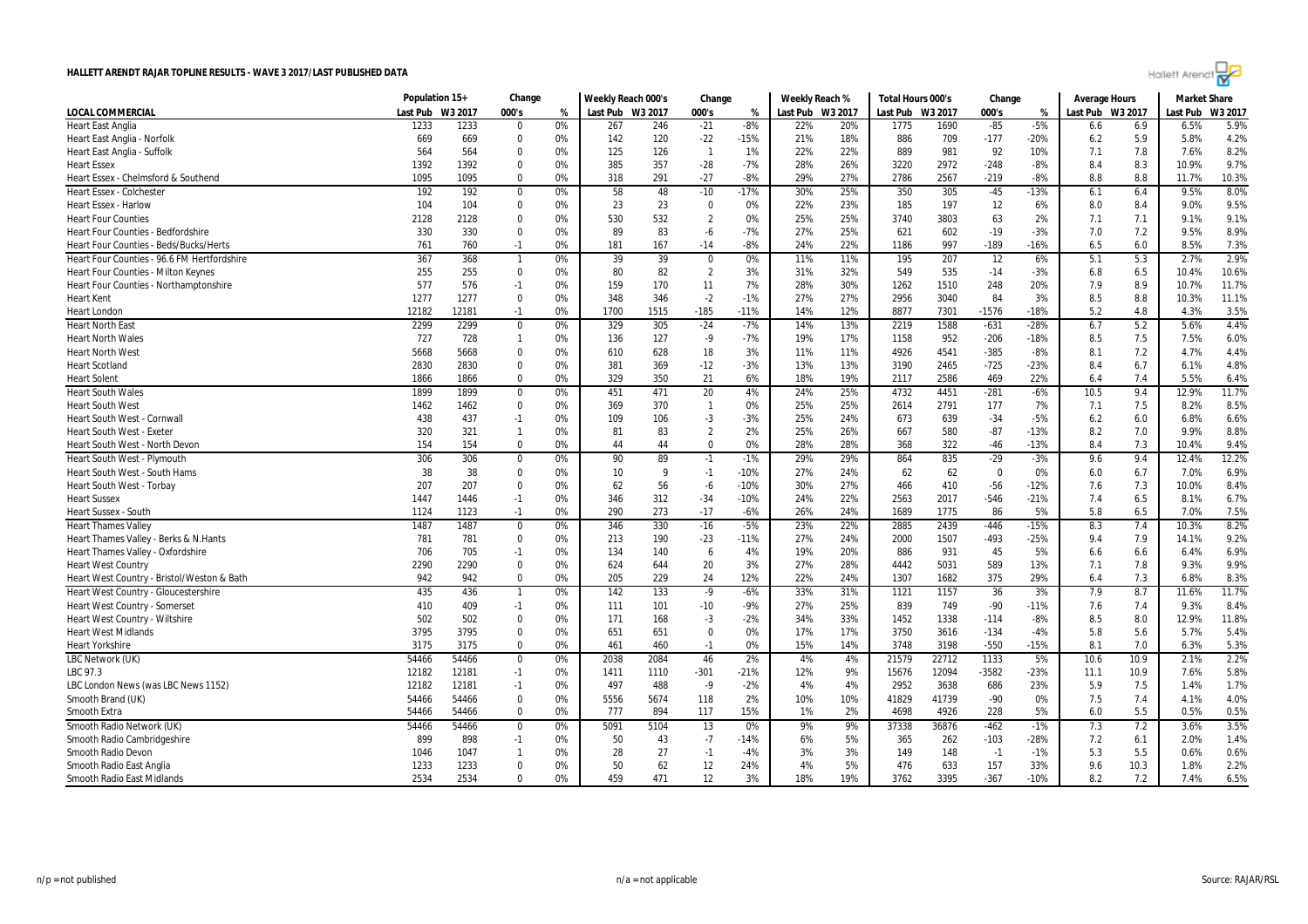

|                                             | Population 15+ |         | Change                   |       | Weekly Reach 000's |      | Change         |        | Weekly Reach %   |     | Total Hours 000's |         | Change      |        | <b>Average Hours</b> |      | <b>Market Share</b> |         |
|---------------------------------------------|----------------|---------|--------------------------|-------|--------------------|------|----------------|--------|------------------|-----|-------------------|---------|-------------|--------|----------------------|------|---------------------|---------|
| <b>LOCAL COMMERCIAL</b>                     | Last Pub       | W3 2017 | 000's                    | %     | Last Pub W3 2017   |      | 000's          | %      | Last Pub W3 2017 |     | Last Pub          | W3 2017 | 000's       | %      | Last Pub W3 2017     |      | Last Pub            | W3 2017 |
| <b>Heart East Anglia</b>                    | 1233           | 1233    | $\mathbf 0$              | 0%    | 267                | 246  | $-21$          | $-8%$  | 22%              | 20% | 1775              | 1690    | $-85$       | $-5%$  | 6.6                  | 6.9  | 6.5%                | 5.9%    |
| Heart East Anglia - Norfolk                 | 669            | 669     | 0                        | 0%    | 142                | 120  | $-22$          | $-15%$ | 21%              | 18% | 886               | 709     | $-177$      | $-20%$ | 6.2                  | 5.9  | 5.8%                | 4.2%    |
| Heart East Anglia - Suffolk                 | 564            | 564     | $\Omega$                 | 0%    | 125                | 126  | $\overline{1}$ | 1%     | 22%              | 22% | 889               | 981     | 92          | 10%    | 7.1                  | 7.8  | 7.6%                | 8.2%    |
| <b>Heart Essex</b>                          | 1392           | 1392    | $\Omega$                 | 0%    | 385                | 357  | $-28$          | $-7%$  | 28%              | 26% | 3220              | 2972    | $-248$      | $-8%$  | 8.4                  | 8.3  | 10.9%               | 9.7%    |
| Heart Essex - Chelmsford & Southend         | 1095           | 1095    | $\Omega$                 | 0%    | 318                | 291  | $-27$          | -8%    | 29%              | 27% | 2786              | 2567    | $-219$      | $-8%$  | 8.8                  | 8.8  | 11.7%               | 10.3%   |
| <b>Heart Essex - Colchester</b>             | 192            | 192     | $\mathbf 0$              | 0%    | 58                 | 48   | $-10$          | $-17%$ | 30%              | 25% | 350               | 305     | $-45$       | $-13%$ | 6.1                  | 6.4  | 9.5%                | 8.0%    |
| <b>Heart Essex - Harlow</b>                 | 104            | 104     | 0                        | 0%    | 23                 | 23   | 0              | 0%     | 22%              | 23% | 185               | 197     | 12          | 6%     | 8.0                  | 8.4  | 9.0%                | 9.5%    |
| <b>Heart Four Counties</b>                  | 2128           | 2128    | $\mathbf 0$              | 0%    | 530                | 532  | $\overline{2}$ | 0%     | 25%              | 25% | 3740              | 3803    | 63          | 2%     | 7.1                  | 7.1  | 9.1%                | 9.1%    |
| <b>Heart Four Counties - Bedfordshire</b>   | 330            | 330     | 0                        | 0%    | 89                 | 83   | -6             | $-7%$  | 27%              | 25% | 621               | 602     | $-19$       | $-3%$  | 7.0                  | 7.2  | 9.5%                | 8.9%    |
| Heart Four Counties - Beds/Bucks/Herts      | 761            | 760     | $-1$                     | 0%    | 181                | 167  | $-14$          | $-8%$  | 24%              | 22% | 1186              | 997     | $-189$      | $-16%$ | 6.5                  | 6.0  | 8.5%                | 7.3%    |
| Heart Four Counties - 96.6 FM Hertfordshire | 367            | 368     | $\overline{\phantom{a}}$ | 0%    | 39                 | 39   | $\mathbf{0}$   | 0%     | 11%              | 11% | 195               | 207     | 12          | 6%     | 5.1                  | 5.3  | 2.7%                | 2.9%    |
| <b>Heart Four Counties - Milton Keynes</b>  | 255            | 255     | $\mathbf 0$              | 0%    | 80                 | 82   | $\overline{2}$ | 3%     | 31%              | 32% | 549               | 535     | $-14$       | $-3%$  | 6.8                  | 6.5  | 10.4%               | 10.6%   |
| Heart Four Counties - Northamptonshire      | 577            | 576     | $-1$                     | 0%    | 159                | 170  | 11             | 7%     | 28%              | 30% | 1262              | 1510    | 248         | 20%    | 7.9                  | 8.9  | 10.7%               | 11.7%   |
| <b>Heart Kent</b>                           | 1277           | 1277    | $\mathbf 0$              | 0%    | 348                | 346  | $-2$           | $-1%$  | 27%              | 27% | 2956              | 3040    | 84          | 3%     | 8.5                  | 8.8  | 10.3%               | 11.1%   |
| <b>Heart London</b>                         | 12182          | 12181   | $-1$                     | 0%    | 1700               | 1515 | $-185$         | $-11%$ | 14%              | 12% | 8877              | 7301    | $-1576$     | $-18%$ | 5.2                  | 4.8  | 4.3%                | 3.5%    |
| <b>Heart North East</b>                     | 2299           | 2299    | $\mathbf 0$              | 0%    | 329                | 305  | $-24$          | $-7%$  | 14%              | 13% | 2219              | 1588    | $-631$      | -28%   | 6.7                  | 5.2  | 5.6%                | 4.4%    |
| <b>Heart North Wales</b>                    | 727            | 728     | $\overline{1}$           | 0%    | 136                | 127  | -9             | $-7%$  | 19%              | 17% | 1158              | 952     | $-206$      | $-18%$ | 8.5                  | 7.5  | 7.5%                | 6.0%    |
| <b>Heart North West</b>                     | 5668           | 5668    | 0                        | 0%    | 610                | 628  | 18             | 3%     | 11%              | 11% | 4926              | 4541    | $-385$      | $-8%$  | 8.1                  | 7.2  | 4.7%                | 4.4%    |
| <b>Heart Scotland</b>                       | 2830           | 2830    | $\mathbf 0$              | 0%    | 381                | 369  | $-12$          | $-3%$  | 13%              | 13% | 3190              | 2465    | $-725$      | $-23%$ | 8.4                  | 6.7  | 6.1%                | 4.8%    |
| <b>Heart Solent</b>                         | 1866           | 1866    | $\mathbf 0$              | 0%    | 329                | 350  | 21             | 6%     | 18%              | 19% | 2117              | 2586    | 469         | 22%    | 6.4                  | 7.4  | 5.5%                | 6.4%    |
| <b>Heart South Wales</b>                    | 1899           | 1899    | $\mathbf 0$              | 0%    | 451                | 471  | 20             | 4%     | 24%              | 25% | 4732              | 4451    | $-281$      | $-6%$  | 10.5                 | 9.4  | 12.9%               | 11.7%   |
| <b>Heart South West</b>                     | 1462           | 1462    | $\mathbf 0$              | 0%    | 369                | 370  | $\mathbf{1}$   | 0%     | 25%              | 25% | 2614              | 2791    | 177         | 7%     | 7.1                  | 7.5  | 8.2%                | 8.5%    |
| Heart South West - Cornwall                 | 438            | 437     | $-1$                     | 0%    | 109                | 106  | $-3$           | $-3%$  | 25%              | 24% | 673               | 639     | $-34$       | $-5%$  | 6.2                  | 6.0  | 6.8%                | 6.6%    |
| <b>Heart South West - Exeter</b>            | 320            | 321     | $\mathbf{1}$             | 0%    | 81                 | 83   | $\overline{2}$ | 2%     | 25%              | 26% | 667               | 580     | $-87$       | $-13%$ | 8.2                  | 7.0  | 9.9%                | 8.8%    |
| Heart South West - North Devon              | 154            | 154     | $\mathbf 0$              | 0%    | 44                 | 44   | $\Omega$       | 0%     | 28%              | 28% | 368               | 322     | $-46$       | $-13%$ | 8.4                  | 7.3  | 10.4%               | 9.4%    |
| Heart South West - Plymouth                 | 306            | 306     | $\mathbf 0$              | 0%    | 90                 | 89   | $-1$           | $-1%$  | 29%              | 29% | 864               | 835     | $-29$       | $-3%$  | 9.6                  | 9.4  | 12.4%               | 12.2%   |
| Heart South West - South Hams               | 38             | 38      | $\mathbf 0$              | 0%    | 10                 | 9    | $-1$           | $-10%$ | 27%              | 24% | 62                | 62      | $\mathbf 0$ | 0%     | 6.0                  | 6.7  | 7.0%                | 6.9%    |
| Heart South West - Torbay                   | 207            | 207     | 0                        | 0%    | 62                 | 56   | $-6$           | $-10%$ | 30%              | 27% | 466               | 410     | $-56$       | $-12%$ | 7.6                  | 7.3  | 10.0%               | 8.4%    |
| <b>Heart Sussex</b>                         | 1447           | 1446    | $-1$                     | 0%    | 346                | 312  | $-34$          | $-10%$ | 24%              | 22% | 2563              | 2017    | $-546$      | $-21%$ | 7.4                  | 6.5  | 8.1%                | 6.7%    |
| <b>Heart Sussex - South</b>                 | 1124           | 1123    | $-1$                     | 0%    | 290                | 273  | $-17$          | $-6%$  | 26%              | 24% | 1689              | 1775    | 86          | 5%     | 5.8                  | 6.5  | 7.0%                | 7.5%    |
| <b>Heart Thames Vallev</b>                  | 1487           | 1487    | $\mathbf{0}$             | $0\%$ | 346                | 330  | $-16$          | $-5%$  | 23%              | 22% | 2885              | 2439    | $-446$      | $-15%$ | 8.3                  | 7.4  | 10.3%               | 8.2%    |
| Heart Thames Valley - Berks & N.Hants       | 781            | 781     | $\mathbf 0$              | 0%    | 213                | 190  | $-23$          | $-11%$ | 27%              | 24% | 2000              | 1507    | $-493$      | $-25%$ | 9.4                  | 7.9  | 14.1%               | 9.2%    |
| Heart Thames Valley - Oxfordshire           | 706            | 705     | $-1$                     | 0%    | 134                | 140  | 6              | 4%     | 19%              | 20% | 886               | 931     | 45          | 5%     | 6.6                  | 6.6  | 6.4%                | 6.9%    |
| <b>Heart West Country</b>                   | 2290           | 2290    | $\mathbf 0$              | 0%    | 624                | 644  | 20             | 3%     | 27%              | 28% | 4442              | 5031    | 589         | 13%    | 7.1                  | 7.8  | 9.3%                | 9.9%    |
| Heart West Country - Bristol/Weston & Bath  | 942            | 942     | $\mathbf 0$              | 0%    | 205                | 229  | 24             | 12%    | 22%              | 24% | 1307              | 1682    | 375         | 29%    | 6.4                  | 7.3  | 6.8%                | 8.3%    |
| Heart West Country - Gloucestershire        | 435            | 436     | -1                       | 0%    | 142                | 133  | $-9$           | $-6%$  | 33%              | 31% | 1121              | 1157    | 36          | 3%     | 7.9                  | 8.7  | 11.6%               | 11.7%   |
| <b>Heart West Country - Somerset</b>        | 410            | 409     | $-1$                     | 0%    | 111                | 101  | $-10$          | -9%    | 27%              | 25% | 839               | 749     | $-90$       | $-11%$ | 7.6                  | 7.4  | 9.3%                | 8.4%    |
| Heart West Country - Wiltshire              | 502            | 502     | 0                        | 0%    | 171                | 168  | $-3$           | -2%    | 34%              | 33% | 1452              | 1338    | $-114$      | $-8%$  | 8.5                  | 8.0  | 12.9%               | 11.8%   |
| <b>Heart West Midlands</b>                  | 3795           | 3795    | $\mathbf 0$              | 0%    | 651                | 651  | $\overline{0}$ | 0%     | 17%              | 17% | 3750              | 3616    | $-134$      | $-4%$  | 5.8                  | 5.6  | 5.7%                | 5.4%    |
| <b>Heart Yorkshire</b>                      | 3175           | 3175    | $\mathbf 0$              | 0%    | 461                | 460  | $-1$           | 0%     | 15%              | 14% | 3748              | 3198    | $-550$      | $-15%$ | 8.1                  | 7.0  | 6.3%                | 5.3%    |
| LBC Network (UK)                            | 54466          | 54466   | $\mathbf 0$              | 0%    | 2038               | 2084 | 46             | 2%     | 4%               | 4%  | 21579             | 22712   | 1133        | 5%     | 10.6                 | 10.9 | 2.1%                | 2.2%    |
| LBC 97.3                                    | 12182          | 12181   | $-1$                     | 0%    | 1411               | 1110 | $-301$         | $-21%$ | 12%              | 9%  | 15676             | 12094   | $-3582$     | $-23%$ | 11.1                 | 10.9 | 7.6%                | 5.8%    |
| LBC London News (was LBC News 1152)         | 12182          | 12181   | $-1$                     | 0%    | 497                | 488  | $-9$           | $-2%$  | 4%               | 4%  | 2952              | 3638    | 686         | 23%    | 5.9                  | 7.5  | 1.4%                | 1.7%    |
| Smooth Brand (UK)                           | 54466          | 54466   | $\mathbf{0}$             | 0%    | 5556               | 5674 | 118            | 2%     | 10%              | 10% | 41829             | 41739   | $-90$       | 0%     | 7.5                  | 7.4  | 4.1%                | 4.0%    |
| Smooth Extra                                | 54466          | 54466   | 0                        | 0%    | 777                | 894  | 117            | 15%    | 1%               | 2%  | 4698              | 4926    | 228         | 5%     | 6.0                  | 5.5  | 0.5%                | 0.5%    |
| Smooth Radio Network (UK)                   | 54466          | 54466   | $\mathbf 0$              | 0%    | 5091               | 5104 | 13             | $0\%$  | 9%               | 9%  | 37338             | 36876   | $-462$      | $-1%$  | 7.3                  | 7.2  | 3.6%                | 3.5%    |
| Smooth Radio Cambridgeshire                 | 899            | 898     | $-1$                     | 0%    | 50                 | 43   | $-7$           | $-14%$ | 6%               | 5%  | 365               | 262     | $-103$      | $-28%$ | 7.2                  | 6.1  | 2.0%                | 1.4%    |
| Smooth Radio Devon                          | 1046           | 1047    | $\mathbf{1}$             | 0%    | 28                 | 27   | $-1$           | $-4%$  | 3%               | 3%  | 149               | 148     | $-1$        | $-1%$  | 5.3                  | 5.5  | 0.6%                | 0.6%    |
| Smooth Radio East Anglia                    | 1233           | 1233    | $\mathbf 0$              | 0%    | 50                 | 62   | 12             | 24%    | 4%               | 5%  | 476               | 633     | 157         | 33%    | 9.6                  | 10.3 | 1.8%                | 2.2%    |
| Smooth Radio East Midlands                  | 2534           | 2534    | $\Omega$                 | 0%    | 459                | 471  | 12             | 3%     | 18%              | 19% | 3762              | 3395    | $-367$      | $-10%$ | 8.2                  | 7.2  | 7.4%                | 6.5%    |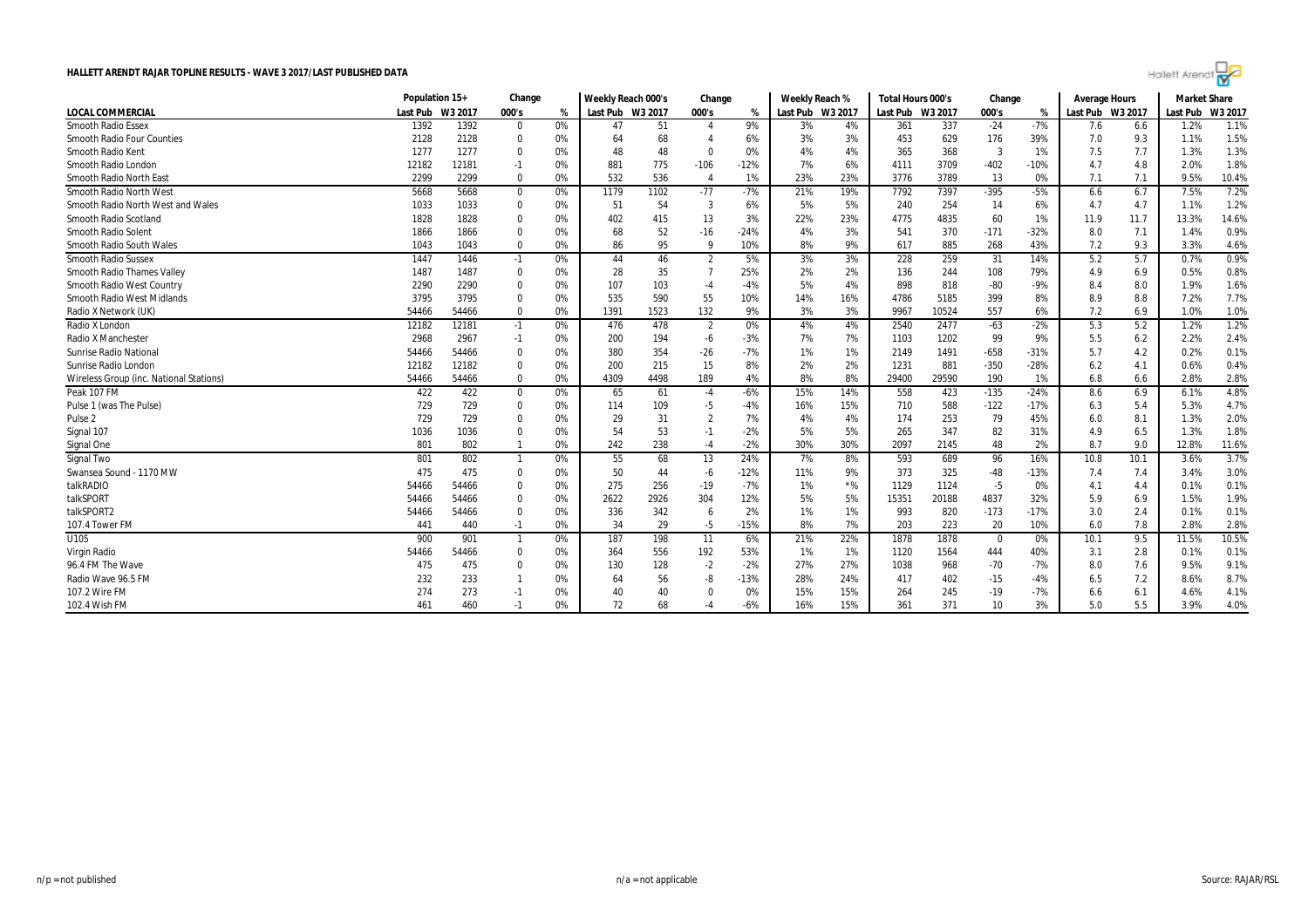

|                                         | Population 15+   |       | Change      |    | Weekly Reach 000's |      | Change         |        | Weekly Reach %   |       | Total Hours 000's |         | Change   |        | <b>Average Hours</b> |      | <b>Market Share</b> |        |
|-----------------------------------------|------------------|-------|-------------|----|--------------------|------|----------------|--------|------------------|-------|-------------------|---------|----------|--------|----------------------|------|---------------------|--------|
| <b>LOCAL COMMERCIAL</b>                 | Last Pub W3 2017 |       | 000's       | %  | Last Pub W3 2017   |      | 000's          | %      | Last Pub W3 2017 |       | Last Pub          | W3 2017 | 000's    | %      | Last Pub W3 2017     |      | Last Pub            | W3 201 |
| <b>Smooth Radio Essex</b>               | 1392             | 1392  | $\mathbf 0$ | 0% | 47                 | 51   | $\overline{4}$ | 9%     | 3%               | 4%    | 361               | 337     | $-24$    | $-7%$  | 7.6                  | 6.6  | 1.2%                | 1.1%   |
| <b>Smooth Radio Four Counties</b>       | 2128             | 2128  | $\mathbf 0$ | 0% | 64                 | 68   |                | 6%     | 3%               | 3%    | 453               | 629     | 176      | 39%    | 7.0                  | 9.3  | 1.1%                | 1.5%   |
| Smooth Radio Kent                       | 1277             | 1277  | $\mathbf 0$ | 0% | 48                 | 48   | $\Omega$       | $0\%$  | 4%               | 4%    | 365               | 368     | -3       | 1%     | 7.5                  | 7.7  | 1.3%                | 1.3%   |
| Smooth Radio London                     | 12182            | 12181 | $-1$        | 0% | 881                | 775  | $-106$         | $-12%$ | 7%               | 6%    | 4111              | 3709    | $-402$   | $-10%$ | 4.7                  | 4.8  | 2.0%                | 1.8%   |
| Smooth Radio North East                 | 2299             | 2299  | $\mathbf 0$ | 0% | 532                | 536  | $\overline{4}$ | 1%     | 23%              | 23%   | 3776              | 3789    | 13       | 0%     | 7.1                  | 7.1  | 9.5%                | 10.4%  |
| Smooth Radio North West                 | 5668             | 5668  | $\mathbf 0$ | 0% | 1179               | 1102 | $-77$          | $-7%$  | 21%              | 19%   | 7792              | 7397    | $-395$   | $-5%$  | 6.6                  | 6.7  | 7.5%                | 7.2%   |
| Smooth Radio North West and Wales       | 1033             | 1033  | $\mathbf 0$ | 0% | 51                 | 54   | 3              | 6%     | 5%               | 5%    | 240               | 254     | 14       | 6%     | 4.7                  | 4.7  | 1.1%                | 1.2%   |
| Smooth Radio Scotland                   | 1828             | 1828  | $\Omega$    | 0% | 402                | 415  | 13             | 3%     | 22%              | 23%   | 4775              | 4835    | 60       | 1%     | 11.9                 | 11.7 | 13.3%               | 14.6%  |
| Smooth Radio Solent                     | 1866             | 1866  | $\Omega$    | 0% | 68                 | 52   | $-16$          | $-24%$ | 4%               | 3%    | 541               | 370     | $-171$   | $-32%$ | 8.0                  | 7.1  | 1.4%                | 0.9%   |
| Smooth Radio South Wales                | 1043             | 1043  | $\Omega$    | 0% | 86                 | 95   | 9              | 10%    | 8%               | 9%    | 617               | 885     | 268      | 43%    | 7.2                  | 9.3  | 3.3%                | 4.6%   |
| <b>Smooth Radio Sussex</b>              | 1447             | 1446  | $-1$        | 0% | 44                 | 46   | $\overline{2}$ | 5%     | 3%               | 3%    | 228               | 259     | 31       | 14%    | 5.2                  | 5.7  | 0.7%                | 0.9%   |
| <b>Smooth Radio Thames Valley</b>       | 1487             | 1487  | $\Omega$    | 0% | 28                 | 35   | $\overline{7}$ | 25%    | 2%               | 2%    | 136               | 244     | 108      | 79%    | 4.9                  | 6.9  | 0.5%                | 0.8%   |
| Smooth Radio West Country               | 2290             | 2290  | $\Omega$    | 0% | 107                | 103  | $-4$           | $-4%$  | 5%               | 4%    | 898               | 818     | $-80$    | $-9%$  | 8.4                  | 8.0  | 1.9%                | 1.6%   |
| Smooth Radio West Midlands              | 3795             | 3795  | $\mathbf 0$ | 0% | 535                | 590  | 55             | 10%    | 14%              | 16%   | 4786              | 5185    | 399      | 8%     | 8.9                  | 8.8  | 7.2%                | 7.7%   |
| Radio X Network (UK)                    | 54466            | 54466 | $\mathbf 0$ | 0% | 1391               | 1523 | 132            | 9%     | 3%               | 3%    | 9967              | 10524   | 557      | 6%     | 7.2                  | 6.9  | 1.0%                | 1.0%   |
| Radio X London                          | 12182            | 12181 | $-1$        | 0% | 476                | 478  | $\overline{2}$ | 0%     | 4%               | 4%    | 2540              | 2477    | $-63$    | $-2%$  | 5.3                  | 5.2  | 1.2%                | 1.2%   |
| Radio X Manchester                      | 2968             | 2967  | $-1$        | 0% | 200                | 194  | -6             | $-3%$  | 7%               | 7%    | 1103              | 1202    | 99       | 9%     | 5.5                  | 6.2  | 2.2%                | 2.4%   |
| <b>Sunrise Radio National</b>           | 54466            | 54466 | $\mathbf 0$ | 0% | 380                | 354  | $-26$          | $-7%$  | 1%               | 1%    | 2149              | 1491    | $-658$   | $-31%$ | 5.7                  | 4.2  | 0.2%                | 0.1%   |
| Sunrise Radio London                    | 12182            | 12182 | 0           | 0% | 200                | 215  | 15             | 8%     | 2%               | 2%    | 1231              | 881     | $-350$   | $-28%$ | 6.2                  | 4.1  | 0.6%                | 0.4%   |
| Wireless Group (inc. National Stations) | 54466            | 54466 | $\mathbf 0$ | 0% | 4309               | 4498 | 189            | 4%     | 8%               | 8%    | 29400             | 29590   | 190      | 1%     | 6.8                  | 6.6  | 2.8%                | 2.8%   |
| Peak 107 FM                             | 422              | 422   | $\mathbf 0$ | 0% | 65                 | 61   | $-4$           | $-6%$  | 15%              | 14%   | 558               | 423     | $-135$   | $-24%$ | 8.6                  | 6.9  | 6.1%                | 4.8%   |
| Pulse 1 (was The Pulse)                 | 729              | 729   | $\mathbf 0$ | 0% | 114                | 109  | $-5$           | $-4%$  | 16%              | 15%   | 710               | 588     | $-122$   | $-17%$ | 6.3                  | 5.4  | 5.3%                | 4.7%   |
| Pulse <sub>2</sub>                      | 729              | 729   | $\Omega$    | 0% | 29                 | 31   | $\overline{2}$ | 7%     | 4%               | 4%    | 174               | 253     | 79       | 45%    | 6.0                  | 8.1  | 1.3%                | 2.0%   |
| Signal 107                              | 1036             | 1036  | $\mathbf 0$ | 0% | 54                 | 53   | $-1$           | $-2%$  | 5%               | 5%    | 265               | 347     | 82       | 31%    | 4.9                  | 6.5  | 1.3%                | 1.8%   |
| Signal One                              | 801              | 802   |             | 0% | 242                | 238  | $-4$           | $-2%$  | 30%              | 30%   | 2097              | 2145    | 48       | 2%     | 8.7                  | 9.0  | 12.8%               | 11.6%  |
| Signal Two                              | 801              | 802   | -1          | 0% | 55                 | 68   | 13             | 24%    | 7%               | 8%    | 593               | 689     | 96       | 16%    | 10.8                 | 10.1 | 3.6%                | 3.7%   |
| Swansea Sound - 1170 MW                 | 475              | 475   | 0           | 0% | 50                 | 44   | $-6$           | $-12%$ | 11%              | 9%    | 373               | 325     | $-48$    | $-13%$ | 7.4                  | 7.4  | 3.4%                | 3.0%   |
| talkRADIO                               | 54466            | 54466 | $\mathbf 0$ | 0% | 275                | 256  | $-19$          | $-7%$  | 1%               | $*$ % | 1129              | 1124    | $-5$     | 0%     | 4.1                  | 4.4  | 0.1%                | 0.1%   |
| talkSPORT                               | 54466            | 54466 | $\mathbf 0$ | 0% | 2622               | 2926 | 304            | 12%    | 5%               | 5%    | 15351             | 20188   | 4837     | 32%    | 5.9                  | 6.9  | 1.5%                | 1.9%   |
| talkSPORT2                              | 54466            | 54466 | $\mathbf 0$ | 0% | 336                | 342  | -6             | 2%     | 1%               | 1%    | 993               | 820     | $-173$   | $-17%$ | 3.0                  | 2.4  | 0.1%                | 0.1%   |
| 107.4 Tower FM                          | 441              | 440   | $-1$        | 0% | 34                 | 29   | $-5$           | $-15%$ | 8%               | 7%    | 203               | 223     | 20       | 10%    | 6.0                  | 7.8  | 2.8%                | 2.8%   |
| U <sub>105</sub>                        | 900              | 901   |             | 0% | 187                | 198  | 11             | 6%     | 21%              | 22%   | 1878              | 1878    | $\Omega$ | 0%     | 10.1                 | 9.5  | 11.5%               | 10.5%  |
| Virgin Radio                            | 54466            | 54466 | $\mathbf 0$ | 0% | 364                | 556  | 192            | 53%    | 1%               | 1%    | 1120              | 1564    | 444      | 40%    | 3.1                  | 2.8  | 0.1%                | 0.1%   |
| 96.4 FM The Wave                        | 475              | 475   | $\Omega$    | 0% | 130                | 128  | $-2$           | $-2%$  | 27%              | 27%   | 1038              | 968     | $-70$    | $-7%$  | 8.0                  | 7.6  | 9.5%                | 9.1%   |
| Radio Wave 96.5 FM                      | 232              | 233   |             | 0% | 64                 | 56   | -8             | $-13%$ | 28%              | 24%   | 417               | 402     | $-15$    | $-4%$  | 6.5                  | 7.2  | 8.6%                | 8.7%   |
| 107.2 Wire FM                           | 274              | 273   | -1          | 0% | 40                 | 40   |                | 0%     | 15%              | 15%   | 264               | 245     | $-19$    | $-7%$  | 6.6                  | 6.1  | 4.6%                | 4.1%   |
| 102.4 Wish FM                           | 461              | 460   | $-1$        | 0% | 72                 | 68   | $-4$           | $-6%$  | 16%              | 15%   | 361               | 371     | 10       | 3%     | 5.0                  | 5.5  | 3.9%                | 4.0%   |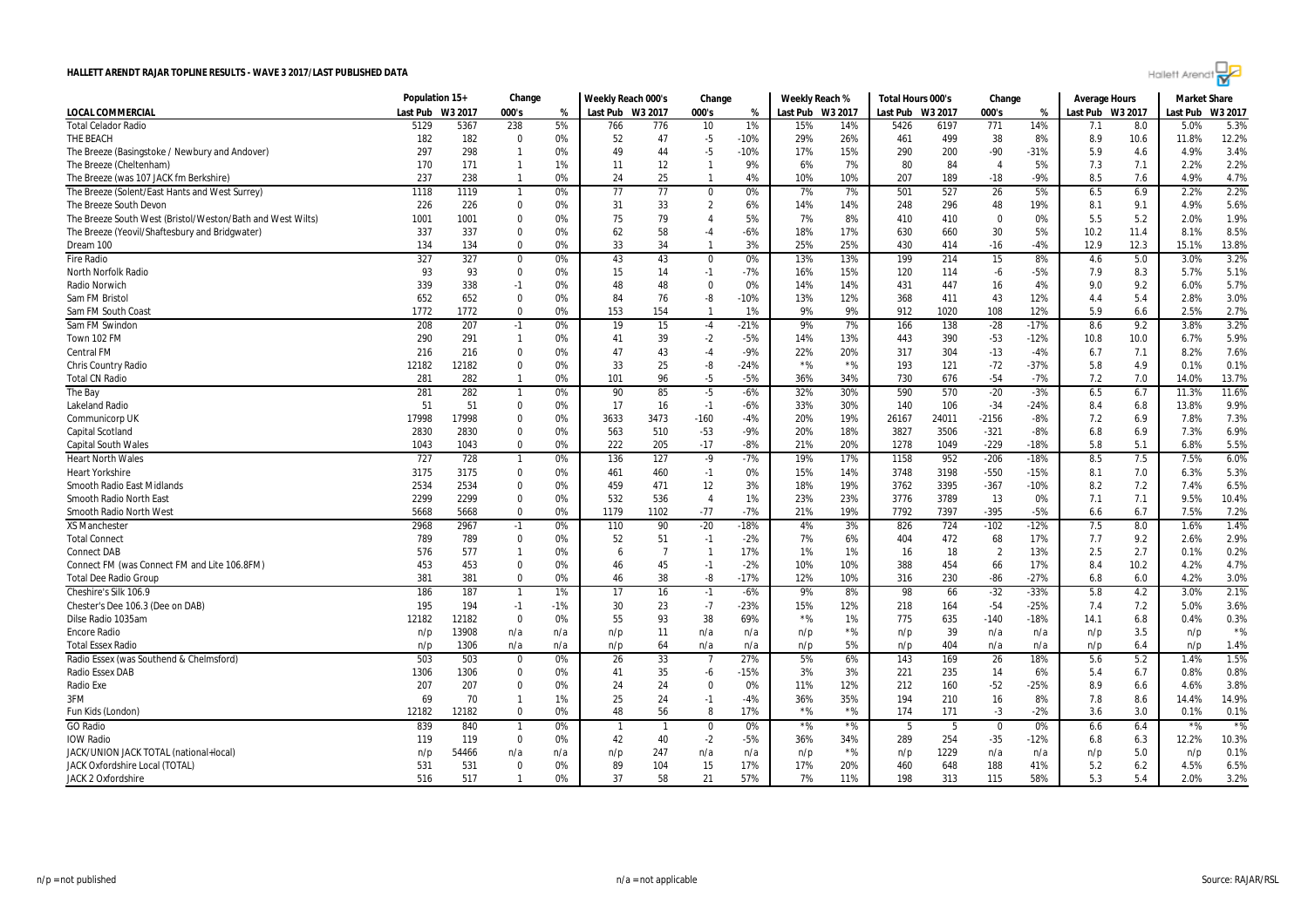

| 000's<br>W3 2017<br><b>LOCAL COMMERCIAL</b><br>Last Pub<br>W3 2017<br>000's<br>Last Pub W3 2017<br>000's<br>%<br>Last Pub<br>W3 2017<br>Last Pub<br>W3 2017<br>Last Pub W3 2017<br>Last Pub<br>%<br>%<br><b>Total Celador Radio</b><br>238<br>1%<br>771<br>5.3%<br>5129<br>5367<br>5%<br>766<br>776<br>10<br>15%<br>14%<br>5426<br>6197<br>14%<br>8.0<br>5.0%<br>7.1<br>182<br>182<br>52<br>47<br>$-5$<br>$-10%$<br>29%<br>26%<br>499<br>38<br>8%<br>10.6<br>11.8%<br>12.2%<br>$\Omega$<br>0%<br>461<br>8.9<br>297<br>298<br>$-5$<br>15%<br>3.4%<br>0%<br>49<br>44<br>$-10%$<br>17%<br>290<br>200<br>$-90$<br>$-31%$<br>5.9<br>4.6<br>4.9%<br>$\overline{\mathbf{1}}$<br>2.2%<br>170<br>171<br>12<br>9%<br>6%<br>7%<br>80<br>84<br>5%<br>7.3<br>7.1<br>2.2%<br>$\overline{1}$<br>1%<br>11<br>-1<br>$\overline{4}$<br>4.7%<br>237<br>25<br>10%<br>189<br>$-9%$<br>238<br>0%<br>24<br>4%<br>10%<br>207<br>$-18$<br>8.5<br>7.6<br>4.9%<br>-1<br>-1<br>527<br>2.2%<br>1119<br>77<br>7%<br>501<br>26<br>5%<br>6.9<br>2.2%<br>1118<br>0%<br>77<br>0%<br>7%<br>6.5<br>0<br>5.6%<br>226<br>226<br>0%<br>33<br>$\overline{2}$<br>6%<br>296<br>48<br>19%<br>9.1<br>4.9%<br>$\mathbf 0$<br>31<br>14%<br>14%<br>248<br>8.1<br>The Breeze South West (Bristol/Weston/Bath and West Wilts)<br>1001<br>0%<br>79<br>5%<br>7%<br>8%<br>410<br>0%<br>5.2<br>2.0%<br>1.9%<br>1001<br>0<br>75<br>$\overline{4}$<br>410<br>$\mathbf 0$<br>5.5<br>8.5%<br>337<br>58<br>18%<br>5%<br>The Breeze (Yeovil/Shaftesbury and Bridgwater)<br>337<br>0%<br>62<br>$-4$<br>-6%<br>17%<br>630<br>660<br>30<br>10.2<br>11.4<br>8.1%<br>0<br>0%<br>33<br>34<br>3%<br>25%<br>25%<br>414<br>$-4%$<br>12.9<br>12.3<br>134<br>134<br>$\mathbf{0}$<br>$\mathbf{1}$<br>430<br>-16<br>15.1%<br>13.8%<br>3.2%<br>327<br>327<br>43<br>43<br>13%<br>13%<br>199<br>214<br>15<br>8%<br>5.0<br><b>Fire Radio</b><br>0%<br>4.6<br>3.0%<br>0<br>0%<br>0<br>93<br>93<br>$-1$<br>15%<br>$-5%$<br>8.3<br>5.1%<br><b>North Norfolk Radio</b><br>$\Omega$<br>0%<br>15<br>14<br>$-7%$<br>16%<br>120<br>114<br>7.9<br>5.7%<br>-6<br>339<br>9.2<br>5.7%<br><b>Radio Norwich</b><br>338<br>0%<br>48<br>48<br>$\Omega$<br>0%<br>14%<br>14%<br>431<br>447<br>16<br>4%<br>9.0<br>6.0%<br>$-1$<br>652<br>3.0%<br>Sam FM Bristol<br>652<br>$\Omega$<br>0%<br>84<br>76<br>$-10%$<br>13%<br>12%<br>368<br>411<br>43<br>12%<br>5.4<br>2.8%<br>-8<br>4.4<br>1772<br>1772<br>0%<br>153<br>154<br>$\overline{1}$<br>1%<br>9%<br>9%<br>912<br>1020<br>108<br>12%<br>5.9<br>2.5%<br>2.7%<br>Sam FM South Coast<br>$\Omega$<br>6.6<br>3.2%<br>Sam FM Swindon<br>208<br>207<br>15<br>$-21%$<br>9%<br>7%<br>138<br>$-28$<br>$-17%$<br>8.6<br>9.2<br>3.8%<br>$-1$<br>0%<br>19<br>$-4$<br>166<br>5.9%<br>290<br>291<br>39<br>$-2$<br>-5%<br>13%<br>390<br>$-53$<br>$-12%$<br>10.0<br>6.7%<br>Town 102 FM<br>$\overline{1}$<br>0%<br>41<br>14%<br>443<br>10.8<br>7.6%<br>216<br>0%<br>43<br>-9%<br>22%<br>20%<br>304<br>$-13$<br>$-4%$<br>7.1<br><b>Central FM</b><br>216<br>$\mathbf 0$<br>47<br>$-4$<br>317<br>6.7<br>8.2%<br>$*$ %<br>$*$ %<br>0.1%<br>12182<br>12182<br>0%<br>33<br>25<br>-8<br>$-24%$<br>193<br>121<br>$-72$<br>$-37%$<br>4.9<br><b>Chris Country Radio</b><br>$\mathbf 0$<br>5.8<br>0.1%<br>282<br>$-5$<br>13.7%<br><b>Total CN Radio</b><br>281<br>0%<br>101<br>96<br>-5%<br>36%<br>34%<br>730<br>676<br>$-54$<br>$-7%$<br>7.2<br>7.0<br>14.0%<br>-1<br>590<br>The Bay<br>281<br>282<br>90<br>85<br>$-5$<br>-6%<br>32%<br>30%<br>570<br>$-20$<br>$-3%$<br>6.5<br>6.7<br>11.3%<br>11.6%<br>$\overline{1}$<br>0%<br>9.9%<br>51<br>51<br>33%<br>106<br>$-34$<br>13.8%<br>Lakeland Radio<br>$\mathbf 0$<br>0%<br>17<br>16<br>$-1$<br>-6%<br>30%<br>140<br>-24%<br>8.4<br>6.8<br>17998<br>17998<br>0%<br>3633<br>3473<br>20%<br>24011<br>$-8%$<br>7.3%<br>Communicorp UK<br>$-160$<br>-4%<br>19%<br>26167<br>$-2156$<br>6.9<br>7.8%<br>0<br>7.2<br>-9%<br>18%<br>6.9%<br>Capital Scotland<br>2830<br>2830<br>0%<br>563<br>510<br>$-53$<br>20%<br>3827<br>3506<br>$-321$<br>$-8%$<br>6.9<br>7.3%<br>$\mathbf 0$<br>6.8<br>$-17$<br>5.1<br>5.5%<br><b>Capital South Wales</b><br>1043<br>1043<br>0%<br>222<br>205<br>-8%<br>21%<br>20%<br>1278<br>1049<br>$-229$<br>$-18%$<br>5.8<br>6.8%<br>$\Omega$<br>6.0%<br>728<br>127<br>19%<br>952<br>$-206$<br>7.5<br>7.5%<br>727<br>0%<br>136<br>$-9$<br>$-7%$<br>17%<br>1158<br>$-18%$<br>8.5<br><b>Heart North Wales</b><br>$\overline{1}$<br>$-550$<br>5.3%<br>3175<br>3175<br>461<br>460<br>$-1$<br>0%<br>15%<br>14%<br>3748<br>3198<br>$-15%$<br>7.0<br><b>Heart Yorkshire</b><br>$\mathbf 0$<br>0%<br>8.1<br>6.3%<br>12<br>6.5%<br>2534<br>2534<br>0%<br>459<br>471<br>3%<br>18%<br>19%<br>3762<br>3395<br>$-367$<br>$-10%$<br>8.2<br>7.2<br>7.4%<br>Smooth Radio East Midlands<br>$\Omega$<br>10.4%<br>Smooth Radio North East<br>2299<br>2299<br>0%<br>532<br>536<br>$\overline{4}$<br>1%<br>23%<br>23%<br>3776<br>3789<br>13<br>0%<br>7.1<br>7.1<br>9.5%<br>$\mathbf{0}$<br>0%<br>$-77$<br>$-7%$<br>7397<br>7.2%<br>Smooth Radio North West<br>5668<br>5668<br>1179<br>1102<br>21%<br>19%<br>7792<br>$-395$<br>$-5%$<br>6.7<br>7.5%<br>$\Omega$<br>6.6<br><b>XS Manchester</b><br>2968<br>2967<br>90<br>$-20$<br>$-18%$<br>3%<br>724<br>$-102$<br>$-12%$<br>7.5<br>8.0<br>1.4%<br>0%<br>110<br>4%<br>826<br>1.6%<br>$-1$<br>2.9%<br>789<br>789<br>0%<br>52<br>51<br>$-1$<br>$-2%$<br>7%<br>6%<br>472<br>68<br>17%<br>9.2<br>2.6%<br><b>Total Connect</b><br>0<br>404<br>7.7<br>0.2%<br>576<br>577<br>17%<br>1%<br>1%<br>$\overline{2}$<br>13%<br>2.5<br>2.7<br>0.1%<br><b>Connect DAB</b><br>$\overline{1}$<br>0%<br>$\overline{7}$<br>-1<br>16<br>18<br>6<br>4.7%<br>453<br>45<br>$-1$<br>454<br>66<br>17%<br>Connect FM (was Connect FM and Lite 106.8FM)<br>453<br>$\mathbf 0$<br>0%<br>46<br>$-2%$<br>10%<br>10%<br>388<br>8.4<br>10.2<br>4.2%<br>381<br>381<br>0%<br>38<br>-8<br>$-17%$<br>12%<br>10%<br>230<br>$-86$<br>$-27%$<br>6.0<br>4.2%<br>3.0%<br><b>Total Dee Radio Group</b><br>$\Omega$<br>46<br>316<br>6.8<br>$-32$<br>2.1%<br>Cheshire's Silk 106.9<br>186<br>187<br>17<br>16<br>9%<br>8%<br>98<br>66<br>$-33%$<br>5.8<br>4.2<br>3.0%<br>1%<br>$-1$<br>-6%<br>-1<br>$-7$<br>3.6%<br>Chester's Dee 106.3 (Dee on DAB)<br>195<br>194<br>$-1$<br>$-1%$<br>30<br>23<br>-23%<br>15%<br>12%<br>218<br>164<br>$-54$<br>-25%<br>7.4<br>7.2<br>5.0%<br>55<br>93<br>38<br>$*$ %<br>0.4%<br>0.3%<br>Dilse Radio 1035am<br>12182<br>12182<br>$\Omega$<br>0%<br>69%<br>1%<br>775<br>635<br>$-18%$<br>14.1<br>6.8<br>$-140$<br>$*$ %<br>13908<br>$*$ %<br>39<br>3.5<br><b>Encore Radio</b><br>11<br>n/p<br>n/a<br>n/a<br>n/p<br>n/a<br>n/a<br>n/a<br>n/a<br>n/p<br>n/p<br>n/p<br>n/p<br>1306<br>5%<br>404<br>6.4<br>1.4%<br><b>Total Essex Radio</b><br>n/a<br>n/a<br>n/p<br>64<br>n/a<br>n/a<br>n/p<br>n/p<br>n/a<br>n/a<br>n/p<br>n/p<br>n/p<br>503<br>503<br>33<br>1.5%<br>Radio Essex (was Southend & Chelmsford)<br>0%<br>26<br>$\overline{7}$<br>27%<br>5%<br>6%<br>143<br>169<br>26<br>18%<br>5.6<br>5.2<br>1.4%<br>$\Omega$<br>0.8%<br>35<br>3%<br>3%<br>235<br>6%<br>6.7<br>0.8%<br>Radio Essex DAB<br>1306<br>1306<br>0<br>0%<br>41<br>-6<br>-15%<br>221<br>14<br>5.4<br>207<br>207<br>12%<br>$-25%$<br>3.8%<br>0%<br>24<br>24<br>0%<br>11%<br>212<br>160<br>$-52$<br>8.9<br>6.6<br>4.6%<br>Radio Exe<br>$\mathbf 0$<br>0<br>3FM<br>69<br>70<br>1%<br>25<br>24<br>$-1$<br>$-4%$<br>36%<br>35%<br>194<br>210<br>16<br>8%<br>8.6<br>14.9%<br>$\overline{1}$<br>7.8<br>14.4%<br>$*$ %<br>$*$ %<br>48<br>56<br>171<br>$-2%$<br>3.0<br>0.1%<br>12182<br>12182<br>$\mathbf 0$<br>0%<br>8<br>17%<br>174<br>$-3$<br>3.6<br>0.1%<br>Fun Kids (London)<br>$*9/6$<br><b>GO</b> Radio<br>839<br>$*$ %<br>$*$ %<br>840<br>0%<br>0%<br>0%<br>6.4<br>$*$ %<br>$\overline{1}$<br>$\mathbf 0$<br>5<br>-5<br>0<br>6.6<br>119<br>$\overline{0}$<br>0%<br>42<br>40<br>$-2$<br>-5%<br>36%<br>34%<br>254<br>$-35$<br>12.2%<br>10.3%<br><b>IOW Radio</b><br>119<br>289<br>-12%<br>6.8<br>6.3<br>JACK/UNION JACK TOTAL (national+local)<br>$*$ %<br>1229<br>5.0<br>0.1%<br>54466<br>n/a<br>247<br>n/p<br>n/a<br>n/p<br>n/a<br>n/a<br>n/p<br>n/a<br>n/a<br>n/p<br>n/p<br>n/p<br>6.5%<br>JACK Oxfordshire Local (TOTAL)<br>531<br>531<br>0%<br>89<br>104<br>15<br>17%<br>17%<br>20%<br>648<br>188<br>41%<br>6.2<br>4.5%<br>0<br>460<br>5.2 |                                                | Population 15+ |     | Change         |    | Weekly Reach 000's |    | Change |     | Weekly Reach % |     | Total Hours 000's |     | Change |     | <b>Average Hours</b> |     | <b>Market Share</b> |      |
|--------------------------------------------------------------------------------------------------------------------------------------------------------------------------------------------------------------------------------------------------------------------------------------------------------------------------------------------------------------------------------------------------------------------------------------------------------------------------------------------------------------------------------------------------------------------------------------------------------------------------------------------------------------------------------------------------------------------------------------------------------------------------------------------------------------------------------------------------------------------------------------------------------------------------------------------------------------------------------------------------------------------------------------------------------------------------------------------------------------------------------------------------------------------------------------------------------------------------------------------------------------------------------------------------------------------------------------------------------------------------------------------------------------------------------------------------------------------------------------------------------------------------------------------------------------------------------------------------------------------------------------------------------------------------------------------------------------------------------------------------------------------------------------------------------------------------------------------------------------------------------------------------------------------------------------------------------------------------------------------------------------------------------------------------------------------------------------------------------------------------------------------------------------------------------------------------------------------------------------------------------------------------------------------------------------------------------------------------------------------------------------------------------------------------------------------------------------------------------------------------------------------------------------------------------------------------------------------------------------------------------------------------------------------------------------------------------------------------------------------------------------------------------------------------------------------------------------------------------------------------------------------------------------------------------------------------------------------------------------------------------------------------------------------------------------------------------------------------------------------------------------------------------------------------------------------------------------------------------------------------------------------------------------------------------------------------------------------------------------------------------------------------------------------------------------------------------------------------------------------------------------------------------------------------------------------------------------------------------------------------------------------------------------------------------------------------------------------------------------------------------------------------------------------------------------------------------------------------------------------------------------------------------------------------------------------------------------------------------------------------------------------------------------------------------------------------------------------------------------------------------------------------------------------------------------------------------------------------------------------------------------------------------------------------------------------------------------------------------------------------------------------------------------------------------------------------------------------------------------------------------------------------------------------------------------------------------------------------------------------------------------------------------------------------------------------------------------------------------------------------------------------------------------------------------------------------------------------------------------------------------------------------------------------------------------------------------------------------------------------------------------------------------------------------------------------------------------------------------------------------------------------------------------------------------------------------------------------------------------------------------------------------------------------------------------------------------------------------------------------------------------------------------------------------------------------------------------------------------------------------------------------------------------------------------------------------------------------------------------------------------------------------------------------------------------------------------------------------------------------------------------------------------------------------------------------------------------------------------------------------------------------------------------------------------------------------------------------------------------------------------------------------------------------------------------------------------------------------------------------------------------------------------------------------------------------------------------------------------------------------------------------------------------------------------------------------------------------------------------------------------------------------------------------------------------------------------------------------------------------------------------------------------------------------------------------------------------------------------------------------------------------------------------------------------------------------------------------------------------------------------------------------------------------------------------------------------------------------------------------------------------------------------------------------------------------------------------------------------------------------------------------------------------------------------------------------------------------------------------------------------------------------------------------------------------------------------------------------------------------------------------------------------------------------------------------------------------------------------------------------------------------------------------------------------------------------------------------------------------------------------------------------------------------------------------------------------------------------------------------------------------------------------------------------------------------------------------------------------------------------------------------------------------------------------------------------------------------------------------------------------------------------------------------------------------------------------------------------------------------------------------------------------------------------------------------------------------------------------------------------------------------------------------------------------------------------------------------------------------------------------------------------------------------------------------------|------------------------------------------------|----------------|-----|----------------|----|--------------------|----|--------|-----|----------------|-----|-------------------|-----|--------|-----|----------------------|-----|---------------------|------|
|                                                                                                                                                                                                                                                                                                                                                                                                                                                                                                                                                                                                                                                                                                                                                                                                                                                                                                                                                                                                                                                                                                                                                                                                                                                                                                                                                                                                                                                                                                                                                                                                                                                                                                                                                                                                                                                                                                                                                                                                                                                                                                                                                                                                                                                                                                                                                                                                                                                                                                                                                                                                                                                                                                                                                                                                                                                                                                                                                                                                                                                                                                                                                                                                                                                                                                                                                                                                                                                                                                                                                                                                                                                                                                                                                                                                                                                                                                                                                                                                                                                                                                                                                                                                                                                                                                                                                                                                                                                                                                                                                                                                                                                                                                                                                                                                                                                                                                                                                                                                                                                                                                                                                                                                                                                                                                                                                                                                                                                                                                                                                                                                                                                                                                                                                                                                                                                                                                                                                                                                                                                                                                                                                                                                                                                                                                                                                                                                                                                                                                                                                                                                                                                                                                                                                                                                                                                                                                                                                                                                                                                                                                                                                                                                                                                                                                                                                                                                                                                                                                                                                                                                                                                                                                                                                                                                                                                                                                                                                                                                                                                                                                                                                                                                                                                                                                                    |                                                |                |     |                |    |                    |    |        |     |                |     |                   |     |        |     |                      |     |                     |      |
|                                                                                                                                                                                                                                                                                                                                                                                                                                                                                                                                                                                                                                                                                                                                                                                                                                                                                                                                                                                                                                                                                                                                                                                                                                                                                                                                                                                                                                                                                                                                                                                                                                                                                                                                                                                                                                                                                                                                                                                                                                                                                                                                                                                                                                                                                                                                                                                                                                                                                                                                                                                                                                                                                                                                                                                                                                                                                                                                                                                                                                                                                                                                                                                                                                                                                                                                                                                                                                                                                                                                                                                                                                                                                                                                                                                                                                                                                                                                                                                                                                                                                                                                                                                                                                                                                                                                                                                                                                                                                                                                                                                                                                                                                                                                                                                                                                                                                                                                                                                                                                                                                                                                                                                                                                                                                                                                                                                                                                                                                                                                                                                                                                                                                                                                                                                                                                                                                                                                                                                                                                                                                                                                                                                                                                                                                                                                                                                                                                                                                                                                                                                                                                                                                                                                                                                                                                                                                                                                                                                                                                                                                                                                                                                                                                                                                                                                                                                                                                                                                                                                                                                                                                                                                                                                                                                                                                                                                                                                                                                                                                                                                                                                                                                                                                                                                                                    |                                                |                |     |                |    |                    |    |        |     |                |     |                   |     |        |     |                      |     |                     |      |
|                                                                                                                                                                                                                                                                                                                                                                                                                                                                                                                                                                                                                                                                                                                                                                                                                                                                                                                                                                                                                                                                                                                                                                                                                                                                                                                                                                                                                                                                                                                                                                                                                                                                                                                                                                                                                                                                                                                                                                                                                                                                                                                                                                                                                                                                                                                                                                                                                                                                                                                                                                                                                                                                                                                                                                                                                                                                                                                                                                                                                                                                                                                                                                                                                                                                                                                                                                                                                                                                                                                                                                                                                                                                                                                                                                                                                                                                                                                                                                                                                                                                                                                                                                                                                                                                                                                                                                                                                                                                                                                                                                                                                                                                                                                                                                                                                                                                                                                                                                                                                                                                                                                                                                                                                                                                                                                                                                                                                                                                                                                                                                                                                                                                                                                                                                                                                                                                                                                                                                                                                                                                                                                                                                                                                                                                                                                                                                                                                                                                                                                                                                                                                                                                                                                                                                                                                                                                                                                                                                                                                                                                                                                                                                                                                                                                                                                                                                                                                                                                                                                                                                                                                                                                                                                                                                                                                                                                                                                                                                                                                                                                                                                                                                                                                                                                                                                    | THE BEACH                                      |                |     |                |    |                    |    |        |     |                |     |                   |     |        |     |                      |     |                     |      |
|                                                                                                                                                                                                                                                                                                                                                                                                                                                                                                                                                                                                                                                                                                                                                                                                                                                                                                                                                                                                                                                                                                                                                                                                                                                                                                                                                                                                                                                                                                                                                                                                                                                                                                                                                                                                                                                                                                                                                                                                                                                                                                                                                                                                                                                                                                                                                                                                                                                                                                                                                                                                                                                                                                                                                                                                                                                                                                                                                                                                                                                                                                                                                                                                                                                                                                                                                                                                                                                                                                                                                                                                                                                                                                                                                                                                                                                                                                                                                                                                                                                                                                                                                                                                                                                                                                                                                                                                                                                                                                                                                                                                                                                                                                                                                                                                                                                                                                                                                                                                                                                                                                                                                                                                                                                                                                                                                                                                                                                                                                                                                                                                                                                                                                                                                                                                                                                                                                                                                                                                                                                                                                                                                                                                                                                                                                                                                                                                                                                                                                                                                                                                                                                                                                                                                                                                                                                                                                                                                                                                                                                                                                                                                                                                                                                                                                                                                                                                                                                                                                                                                                                                                                                                                                                                                                                                                                                                                                                                                                                                                                                                                                                                                                                                                                                                                                                    | The Breeze (Basingstoke / Newbury and Andover) |                |     |                |    |                    |    |        |     |                |     |                   |     |        |     |                      |     |                     |      |
|                                                                                                                                                                                                                                                                                                                                                                                                                                                                                                                                                                                                                                                                                                                                                                                                                                                                                                                                                                                                                                                                                                                                                                                                                                                                                                                                                                                                                                                                                                                                                                                                                                                                                                                                                                                                                                                                                                                                                                                                                                                                                                                                                                                                                                                                                                                                                                                                                                                                                                                                                                                                                                                                                                                                                                                                                                                                                                                                                                                                                                                                                                                                                                                                                                                                                                                                                                                                                                                                                                                                                                                                                                                                                                                                                                                                                                                                                                                                                                                                                                                                                                                                                                                                                                                                                                                                                                                                                                                                                                                                                                                                                                                                                                                                                                                                                                                                                                                                                                                                                                                                                                                                                                                                                                                                                                                                                                                                                                                                                                                                                                                                                                                                                                                                                                                                                                                                                                                                                                                                                                                                                                                                                                                                                                                                                                                                                                                                                                                                                                                                                                                                                                                                                                                                                                                                                                                                                                                                                                                                                                                                                                                                                                                                                                                                                                                                                                                                                                                                                                                                                                                                                                                                                                                                                                                                                                                                                                                                                                                                                                                                                                                                                                                                                                                                                                                    | The Breeze (Cheltenham)                        |                |     |                |    |                    |    |        |     |                |     |                   |     |        |     |                      |     |                     |      |
|                                                                                                                                                                                                                                                                                                                                                                                                                                                                                                                                                                                                                                                                                                                                                                                                                                                                                                                                                                                                                                                                                                                                                                                                                                                                                                                                                                                                                                                                                                                                                                                                                                                                                                                                                                                                                                                                                                                                                                                                                                                                                                                                                                                                                                                                                                                                                                                                                                                                                                                                                                                                                                                                                                                                                                                                                                                                                                                                                                                                                                                                                                                                                                                                                                                                                                                                                                                                                                                                                                                                                                                                                                                                                                                                                                                                                                                                                                                                                                                                                                                                                                                                                                                                                                                                                                                                                                                                                                                                                                                                                                                                                                                                                                                                                                                                                                                                                                                                                                                                                                                                                                                                                                                                                                                                                                                                                                                                                                                                                                                                                                                                                                                                                                                                                                                                                                                                                                                                                                                                                                                                                                                                                                                                                                                                                                                                                                                                                                                                                                                                                                                                                                                                                                                                                                                                                                                                                                                                                                                                                                                                                                                                                                                                                                                                                                                                                                                                                                                                                                                                                                                                                                                                                                                                                                                                                                                                                                                                                                                                                                                                                                                                                                                                                                                                                                                    | The Breeze (was 107 JACK fm Berkshire)         |                |     |                |    |                    |    |        |     |                |     |                   |     |        |     |                      |     |                     |      |
|                                                                                                                                                                                                                                                                                                                                                                                                                                                                                                                                                                                                                                                                                                                                                                                                                                                                                                                                                                                                                                                                                                                                                                                                                                                                                                                                                                                                                                                                                                                                                                                                                                                                                                                                                                                                                                                                                                                                                                                                                                                                                                                                                                                                                                                                                                                                                                                                                                                                                                                                                                                                                                                                                                                                                                                                                                                                                                                                                                                                                                                                                                                                                                                                                                                                                                                                                                                                                                                                                                                                                                                                                                                                                                                                                                                                                                                                                                                                                                                                                                                                                                                                                                                                                                                                                                                                                                                                                                                                                                                                                                                                                                                                                                                                                                                                                                                                                                                                                                                                                                                                                                                                                                                                                                                                                                                                                                                                                                                                                                                                                                                                                                                                                                                                                                                                                                                                                                                                                                                                                                                                                                                                                                                                                                                                                                                                                                                                                                                                                                                                                                                                                                                                                                                                                                                                                                                                                                                                                                                                                                                                                                                                                                                                                                                                                                                                                                                                                                                                                                                                                                                                                                                                                                                                                                                                                                                                                                                                                                                                                                                                                                                                                                                                                                                                                                                    | The Breeze (Solent/East Hants and West Surrey) |                |     |                |    |                    |    |        |     |                |     |                   |     |        |     |                      |     |                     |      |
|                                                                                                                                                                                                                                                                                                                                                                                                                                                                                                                                                                                                                                                                                                                                                                                                                                                                                                                                                                                                                                                                                                                                                                                                                                                                                                                                                                                                                                                                                                                                                                                                                                                                                                                                                                                                                                                                                                                                                                                                                                                                                                                                                                                                                                                                                                                                                                                                                                                                                                                                                                                                                                                                                                                                                                                                                                                                                                                                                                                                                                                                                                                                                                                                                                                                                                                                                                                                                                                                                                                                                                                                                                                                                                                                                                                                                                                                                                                                                                                                                                                                                                                                                                                                                                                                                                                                                                                                                                                                                                                                                                                                                                                                                                                                                                                                                                                                                                                                                                                                                                                                                                                                                                                                                                                                                                                                                                                                                                                                                                                                                                                                                                                                                                                                                                                                                                                                                                                                                                                                                                                                                                                                                                                                                                                                                                                                                                                                                                                                                                                                                                                                                                                                                                                                                                                                                                                                                                                                                                                                                                                                                                                                                                                                                                                                                                                                                                                                                                                                                                                                                                                                                                                                                                                                                                                                                                                                                                                                                                                                                                                                                                                                                                                                                                                                                                                    | The Breeze South Devon                         |                |     |                |    |                    |    |        |     |                |     |                   |     |        |     |                      |     |                     |      |
|                                                                                                                                                                                                                                                                                                                                                                                                                                                                                                                                                                                                                                                                                                                                                                                                                                                                                                                                                                                                                                                                                                                                                                                                                                                                                                                                                                                                                                                                                                                                                                                                                                                                                                                                                                                                                                                                                                                                                                                                                                                                                                                                                                                                                                                                                                                                                                                                                                                                                                                                                                                                                                                                                                                                                                                                                                                                                                                                                                                                                                                                                                                                                                                                                                                                                                                                                                                                                                                                                                                                                                                                                                                                                                                                                                                                                                                                                                                                                                                                                                                                                                                                                                                                                                                                                                                                                                                                                                                                                                                                                                                                                                                                                                                                                                                                                                                                                                                                                                                                                                                                                                                                                                                                                                                                                                                                                                                                                                                                                                                                                                                                                                                                                                                                                                                                                                                                                                                                                                                                                                                                                                                                                                                                                                                                                                                                                                                                                                                                                                                                                                                                                                                                                                                                                                                                                                                                                                                                                                                                                                                                                                                                                                                                                                                                                                                                                                                                                                                                                                                                                                                                                                                                                                                                                                                                                                                                                                                                                                                                                                                                                                                                                                                                                                                                                                                    |                                                |                |     |                |    |                    |    |        |     |                |     |                   |     |        |     |                      |     |                     |      |
|                                                                                                                                                                                                                                                                                                                                                                                                                                                                                                                                                                                                                                                                                                                                                                                                                                                                                                                                                                                                                                                                                                                                                                                                                                                                                                                                                                                                                                                                                                                                                                                                                                                                                                                                                                                                                                                                                                                                                                                                                                                                                                                                                                                                                                                                                                                                                                                                                                                                                                                                                                                                                                                                                                                                                                                                                                                                                                                                                                                                                                                                                                                                                                                                                                                                                                                                                                                                                                                                                                                                                                                                                                                                                                                                                                                                                                                                                                                                                                                                                                                                                                                                                                                                                                                                                                                                                                                                                                                                                                                                                                                                                                                                                                                                                                                                                                                                                                                                                                                                                                                                                                                                                                                                                                                                                                                                                                                                                                                                                                                                                                                                                                                                                                                                                                                                                                                                                                                                                                                                                                                                                                                                                                                                                                                                                                                                                                                                                                                                                                                                                                                                                                                                                                                                                                                                                                                                                                                                                                                                                                                                                                                                                                                                                                                                                                                                                                                                                                                                                                                                                                                                                                                                                                                                                                                                                                                                                                                                                                                                                                                                                                                                                                                                                                                                                                                    |                                                |                |     |                |    |                    |    |        |     |                |     |                   |     |        |     |                      |     |                     |      |
|                                                                                                                                                                                                                                                                                                                                                                                                                                                                                                                                                                                                                                                                                                                                                                                                                                                                                                                                                                                                                                                                                                                                                                                                                                                                                                                                                                                                                                                                                                                                                                                                                                                                                                                                                                                                                                                                                                                                                                                                                                                                                                                                                                                                                                                                                                                                                                                                                                                                                                                                                                                                                                                                                                                                                                                                                                                                                                                                                                                                                                                                                                                                                                                                                                                                                                                                                                                                                                                                                                                                                                                                                                                                                                                                                                                                                                                                                                                                                                                                                                                                                                                                                                                                                                                                                                                                                                                                                                                                                                                                                                                                                                                                                                                                                                                                                                                                                                                                                                                                                                                                                                                                                                                                                                                                                                                                                                                                                                                                                                                                                                                                                                                                                                                                                                                                                                                                                                                                                                                                                                                                                                                                                                                                                                                                                                                                                                                                                                                                                                                                                                                                                                                                                                                                                                                                                                                                                                                                                                                                                                                                                                                                                                                                                                                                                                                                                                                                                                                                                                                                                                                                                                                                                                                                                                                                                                                                                                                                                                                                                                                                                                                                                                                                                                                                                                                    | Dream 100                                      |                |     |                |    |                    |    |        |     |                |     |                   |     |        |     |                      |     |                     |      |
|                                                                                                                                                                                                                                                                                                                                                                                                                                                                                                                                                                                                                                                                                                                                                                                                                                                                                                                                                                                                                                                                                                                                                                                                                                                                                                                                                                                                                                                                                                                                                                                                                                                                                                                                                                                                                                                                                                                                                                                                                                                                                                                                                                                                                                                                                                                                                                                                                                                                                                                                                                                                                                                                                                                                                                                                                                                                                                                                                                                                                                                                                                                                                                                                                                                                                                                                                                                                                                                                                                                                                                                                                                                                                                                                                                                                                                                                                                                                                                                                                                                                                                                                                                                                                                                                                                                                                                                                                                                                                                                                                                                                                                                                                                                                                                                                                                                                                                                                                                                                                                                                                                                                                                                                                                                                                                                                                                                                                                                                                                                                                                                                                                                                                                                                                                                                                                                                                                                                                                                                                                                                                                                                                                                                                                                                                                                                                                                                                                                                                                                                                                                                                                                                                                                                                                                                                                                                                                                                                                                                                                                                                                                                                                                                                                                                                                                                                                                                                                                                                                                                                                                                                                                                                                                                                                                                                                                                                                                                                                                                                                                                                                                                                                                                                                                                                                                    |                                                |                |     |                |    |                    |    |        |     |                |     |                   |     |        |     |                      |     |                     |      |
|                                                                                                                                                                                                                                                                                                                                                                                                                                                                                                                                                                                                                                                                                                                                                                                                                                                                                                                                                                                                                                                                                                                                                                                                                                                                                                                                                                                                                                                                                                                                                                                                                                                                                                                                                                                                                                                                                                                                                                                                                                                                                                                                                                                                                                                                                                                                                                                                                                                                                                                                                                                                                                                                                                                                                                                                                                                                                                                                                                                                                                                                                                                                                                                                                                                                                                                                                                                                                                                                                                                                                                                                                                                                                                                                                                                                                                                                                                                                                                                                                                                                                                                                                                                                                                                                                                                                                                                                                                                                                                                                                                                                                                                                                                                                                                                                                                                                                                                                                                                                                                                                                                                                                                                                                                                                                                                                                                                                                                                                                                                                                                                                                                                                                                                                                                                                                                                                                                                                                                                                                                                                                                                                                                                                                                                                                                                                                                                                                                                                                                                                                                                                                                                                                                                                                                                                                                                                                                                                                                                                                                                                                                                                                                                                                                                                                                                                                                                                                                                                                                                                                                                                                                                                                                                                                                                                                                                                                                                                                                                                                                                                                                                                                                                                                                                                                                                    |                                                |                |     |                |    |                    |    |        |     |                |     |                   |     |        |     |                      |     |                     |      |
|                                                                                                                                                                                                                                                                                                                                                                                                                                                                                                                                                                                                                                                                                                                                                                                                                                                                                                                                                                                                                                                                                                                                                                                                                                                                                                                                                                                                                                                                                                                                                                                                                                                                                                                                                                                                                                                                                                                                                                                                                                                                                                                                                                                                                                                                                                                                                                                                                                                                                                                                                                                                                                                                                                                                                                                                                                                                                                                                                                                                                                                                                                                                                                                                                                                                                                                                                                                                                                                                                                                                                                                                                                                                                                                                                                                                                                                                                                                                                                                                                                                                                                                                                                                                                                                                                                                                                                                                                                                                                                                                                                                                                                                                                                                                                                                                                                                                                                                                                                                                                                                                                                                                                                                                                                                                                                                                                                                                                                                                                                                                                                                                                                                                                                                                                                                                                                                                                                                                                                                                                                                                                                                                                                                                                                                                                                                                                                                                                                                                                                                                                                                                                                                                                                                                                                                                                                                                                                                                                                                                                                                                                                                                                                                                                                                                                                                                                                                                                                                                                                                                                                                                                                                                                                                                                                                                                                                                                                                                                                                                                                                                                                                                                                                                                                                                                                                    |                                                |                |     |                |    |                    |    |        |     |                |     |                   |     |        |     |                      |     |                     |      |
|                                                                                                                                                                                                                                                                                                                                                                                                                                                                                                                                                                                                                                                                                                                                                                                                                                                                                                                                                                                                                                                                                                                                                                                                                                                                                                                                                                                                                                                                                                                                                                                                                                                                                                                                                                                                                                                                                                                                                                                                                                                                                                                                                                                                                                                                                                                                                                                                                                                                                                                                                                                                                                                                                                                                                                                                                                                                                                                                                                                                                                                                                                                                                                                                                                                                                                                                                                                                                                                                                                                                                                                                                                                                                                                                                                                                                                                                                                                                                                                                                                                                                                                                                                                                                                                                                                                                                                                                                                                                                                                                                                                                                                                                                                                                                                                                                                                                                                                                                                                                                                                                                                                                                                                                                                                                                                                                                                                                                                                                                                                                                                                                                                                                                                                                                                                                                                                                                                                                                                                                                                                                                                                                                                                                                                                                                                                                                                                                                                                                                                                                                                                                                                                                                                                                                                                                                                                                                                                                                                                                                                                                                                                                                                                                                                                                                                                                                                                                                                                                                                                                                                                                                                                                                                                                                                                                                                                                                                                                                                                                                                                                                                                                                                                                                                                                                                                    |                                                |                |     |                |    |                    |    |        |     |                |     |                   |     |        |     |                      |     |                     |      |
|                                                                                                                                                                                                                                                                                                                                                                                                                                                                                                                                                                                                                                                                                                                                                                                                                                                                                                                                                                                                                                                                                                                                                                                                                                                                                                                                                                                                                                                                                                                                                                                                                                                                                                                                                                                                                                                                                                                                                                                                                                                                                                                                                                                                                                                                                                                                                                                                                                                                                                                                                                                                                                                                                                                                                                                                                                                                                                                                                                                                                                                                                                                                                                                                                                                                                                                                                                                                                                                                                                                                                                                                                                                                                                                                                                                                                                                                                                                                                                                                                                                                                                                                                                                                                                                                                                                                                                                                                                                                                                                                                                                                                                                                                                                                                                                                                                                                                                                                                                                                                                                                                                                                                                                                                                                                                                                                                                                                                                                                                                                                                                                                                                                                                                                                                                                                                                                                                                                                                                                                                                                                                                                                                                                                                                                                                                                                                                                                                                                                                                                                                                                                                                                                                                                                                                                                                                                                                                                                                                                                                                                                                                                                                                                                                                                                                                                                                                                                                                                                                                                                                                                                                                                                                                                                                                                                                                                                                                                                                                                                                                                                                                                                                                                                                                                                                                                    |                                                |                |     |                |    |                    |    |        |     |                |     |                   |     |        |     |                      |     |                     |      |
|                                                                                                                                                                                                                                                                                                                                                                                                                                                                                                                                                                                                                                                                                                                                                                                                                                                                                                                                                                                                                                                                                                                                                                                                                                                                                                                                                                                                                                                                                                                                                                                                                                                                                                                                                                                                                                                                                                                                                                                                                                                                                                                                                                                                                                                                                                                                                                                                                                                                                                                                                                                                                                                                                                                                                                                                                                                                                                                                                                                                                                                                                                                                                                                                                                                                                                                                                                                                                                                                                                                                                                                                                                                                                                                                                                                                                                                                                                                                                                                                                                                                                                                                                                                                                                                                                                                                                                                                                                                                                                                                                                                                                                                                                                                                                                                                                                                                                                                                                                                                                                                                                                                                                                                                                                                                                                                                                                                                                                                                                                                                                                                                                                                                                                                                                                                                                                                                                                                                                                                                                                                                                                                                                                                                                                                                                                                                                                                                                                                                                                                                                                                                                                                                                                                                                                                                                                                                                                                                                                                                                                                                                                                                                                                                                                                                                                                                                                                                                                                                                                                                                                                                                                                                                                                                                                                                                                                                                                                                                                                                                                                                                                                                                                                                                                                                                                                    |                                                |                |     |                |    |                    |    |        |     |                |     |                   |     |        |     |                      |     |                     |      |
|                                                                                                                                                                                                                                                                                                                                                                                                                                                                                                                                                                                                                                                                                                                                                                                                                                                                                                                                                                                                                                                                                                                                                                                                                                                                                                                                                                                                                                                                                                                                                                                                                                                                                                                                                                                                                                                                                                                                                                                                                                                                                                                                                                                                                                                                                                                                                                                                                                                                                                                                                                                                                                                                                                                                                                                                                                                                                                                                                                                                                                                                                                                                                                                                                                                                                                                                                                                                                                                                                                                                                                                                                                                                                                                                                                                                                                                                                                                                                                                                                                                                                                                                                                                                                                                                                                                                                                                                                                                                                                                                                                                                                                                                                                                                                                                                                                                                                                                                                                                                                                                                                                                                                                                                                                                                                                                                                                                                                                                                                                                                                                                                                                                                                                                                                                                                                                                                                                                                                                                                                                                                                                                                                                                                                                                                                                                                                                                                                                                                                                                                                                                                                                                                                                                                                                                                                                                                                                                                                                                                                                                                                                                                                                                                                                                                                                                                                                                                                                                                                                                                                                                                                                                                                                                                                                                                                                                                                                                                                                                                                                                                                                                                                                                                                                                                                                                    |                                                |                |     |                |    |                    |    |        |     |                |     |                   |     |        |     |                      |     |                     |      |
|                                                                                                                                                                                                                                                                                                                                                                                                                                                                                                                                                                                                                                                                                                                                                                                                                                                                                                                                                                                                                                                                                                                                                                                                                                                                                                                                                                                                                                                                                                                                                                                                                                                                                                                                                                                                                                                                                                                                                                                                                                                                                                                                                                                                                                                                                                                                                                                                                                                                                                                                                                                                                                                                                                                                                                                                                                                                                                                                                                                                                                                                                                                                                                                                                                                                                                                                                                                                                                                                                                                                                                                                                                                                                                                                                                                                                                                                                                                                                                                                                                                                                                                                                                                                                                                                                                                                                                                                                                                                                                                                                                                                                                                                                                                                                                                                                                                                                                                                                                                                                                                                                                                                                                                                                                                                                                                                                                                                                                                                                                                                                                                                                                                                                                                                                                                                                                                                                                                                                                                                                                                                                                                                                                                                                                                                                                                                                                                                                                                                                                                                                                                                                                                                                                                                                                                                                                                                                                                                                                                                                                                                                                                                                                                                                                                                                                                                                                                                                                                                                                                                                                                                                                                                                                                                                                                                                                                                                                                                                                                                                                                                                                                                                                                                                                                                                                                    |                                                |                |     |                |    |                    |    |        |     |                |     |                   |     |        |     |                      |     |                     |      |
|                                                                                                                                                                                                                                                                                                                                                                                                                                                                                                                                                                                                                                                                                                                                                                                                                                                                                                                                                                                                                                                                                                                                                                                                                                                                                                                                                                                                                                                                                                                                                                                                                                                                                                                                                                                                                                                                                                                                                                                                                                                                                                                                                                                                                                                                                                                                                                                                                                                                                                                                                                                                                                                                                                                                                                                                                                                                                                                                                                                                                                                                                                                                                                                                                                                                                                                                                                                                                                                                                                                                                                                                                                                                                                                                                                                                                                                                                                                                                                                                                                                                                                                                                                                                                                                                                                                                                                                                                                                                                                                                                                                                                                                                                                                                                                                                                                                                                                                                                                                                                                                                                                                                                                                                                                                                                                                                                                                                                                                                                                                                                                                                                                                                                                                                                                                                                                                                                                                                                                                                                                                                                                                                                                                                                                                                                                                                                                                                                                                                                                                                                                                                                                                                                                                                                                                                                                                                                                                                                                                                                                                                                                                                                                                                                                                                                                                                                                                                                                                                                                                                                                                                                                                                                                                                                                                                                                                                                                                                                                                                                                                                                                                                                                                                                                                                                                                    |                                                |                |     |                |    |                    |    |        |     |                |     |                   |     |        |     |                      |     |                     |      |
|                                                                                                                                                                                                                                                                                                                                                                                                                                                                                                                                                                                                                                                                                                                                                                                                                                                                                                                                                                                                                                                                                                                                                                                                                                                                                                                                                                                                                                                                                                                                                                                                                                                                                                                                                                                                                                                                                                                                                                                                                                                                                                                                                                                                                                                                                                                                                                                                                                                                                                                                                                                                                                                                                                                                                                                                                                                                                                                                                                                                                                                                                                                                                                                                                                                                                                                                                                                                                                                                                                                                                                                                                                                                                                                                                                                                                                                                                                                                                                                                                                                                                                                                                                                                                                                                                                                                                                                                                                                                                                                                                                                                                                                                                                                                                                                                                                                                                                                                                                                                                                                                                                                                                                                                                                                                                                                                                                                                                                                                                                                                                                                                                                                                                                                                                                                                                                                                                                                                                                                                                                                                                                                                                                                                                                                                                                                                                                                                                                                                                                                                                                                                                                                                                                                                                                                                                                                                                                                                                                                                                                                                                                                                                                                                                                                                                                                                                                                                                                                                                                                                                                                                                                                                                                                                                                                                                                                                                                                                                                                                                                                                                                                                                                                                                                                                                                                    |                                                |                |     |                |    |                    |    |        |     |                |     |                   |     |        |     |                      |     |                     |      |
|                                                                                                                                                                                                                                                                                                                                                                                                                                                                                                                                                                                                                                                                                                                                                                                                                                                                                                                                                                                                                                                                                                                                                                                                                                                                                                                                                                                                                                                                                                                                                                                                                                                                                                                                                                                                                                                                                                                                                                                                                                                                                                                                                                                                                                                                                                                                                                                                                                                                                                                                                                                                                                                                                                                                                                                                                                                                                                                                                                                                                                                                                                                                                                                                                                                                                                                                                                                                                                                                                                                                                                                                                                                                                                                                                                                                                                                                                                                                                                                                                                                                                                                                                                                                                                                                                                                                                                                                                                                                                                                                                                                                                                                                                                                                                                                                                                                                                                                                                                                                                                                                                                                                                                                                                                                                                                                                                                                                                                                                                                                                                                                                                                                                                                                                                                                                                                                                                                                                                                                                                                                                                                                                                                                                                                                                                                                                                                                                                                                                                                                                                                                                                                                                                                                                                                                                                                                                                                                                                                                                                                                                                                                                                                                                                                                                                                                                                                                                                                                                                                                                                                                                                                                                                                                                                                                                                                                                                                                                                                                                                                                                                                                                                                                                                                                                                                                    |                                                |                |     |                |    |                    |    |        |     |                |     |                   |     |        |     |                      |     |                     |      |
|                                                                                                                                                                                                                                                                                                                                                                                                                                                                                                                                                                                                                                                                                                                                                                                                                                                                                                                                                                                                                                                                                                                                                                                                                                                                                                                                                                                                                                                                                                                                                                                                                                                                                                                                                                                                                                                                                                                                                                                                                                                                                                                                                                                                                                                                                                                                                                                                                                                                                                                                                                                                                                                                                                                                                                                                                                                                                                                                                                                                                                                                                                                                                                                                                                                                                                                                                                                                                                                                                                                                                                                                                                                                                                                                                                                                                                                                                                                                                                                                                                                                                                                                                                                                                                                                                                                                                                                                                                                                                                                                                                                                                                                                                                                                                                                                                                                                                                                                                                                                                                                                                                                                                                                                                                                                                                                                                                                                                                                                                                                                                                                                                                                                                                                                                                                                                                                                                                                                                                                                                                                                                                                                                                                                                                                                                                                                                                                                                                                                                                                                                                                                                                                                                                                                                                                                                                                                                                                                                                                                                                                                                                                                                                                                                                                                                                                                                                                                                                                                                                                                                                                                                                                                                                                                                                                                                                                                                                                                                                                                                                                                                                                                                                                                                                                                                                                    |                                                |                |     |                |    |                    |    |        |     |                |     |                   |     |        |     |                      |     |                     |      |
|                                                                                                                                                                                                                                                                                                                                                                                                                                                                                                                                                                                                                                                                                                                                                                                                                                                                                                                                                                                                                                                                                                                                                                                                                                                                                                                                                                                                                                                                                                                                                                                                                                                                                                                                                                                                                                                                                                                                                                                                                                                                                                                                                                                                                                                                                                                                                                                                                                                                                                                                                                                                                                                                                                                                                                                                                                                                                                                                                                                                                                                                                                                                                                                                                                                                                                                                                                                                                                                                                                                                                                                                                                                                                                                                                                                                                                                                                                                                                                                                                                                                                                                                                                                                                                                                                                                                                                                                                                                                                                                                                                                                                                                                                                                                                                                                                                                                                                                                                                                                                                                                                                                                                                                                                                                                                                                                                                                                                                                                                                                                                                                                                                                                                                                                                                                                                                                                                                                                                                                                                                                                                                                                                                                                                                                                                                                                                                                                                                                                                                                                                                                                                                                                                                                                                                                                                                                                                                                                                                                                                                                                                                                                                                                                                                                                                                                                                                                                                                                                                                                                                                                                                                                                                                                                                                                                                                                                                                                                                                                                                                                                                                                                                                                                                                                                                                                    |                                                |                |     |                |    |                    |    |        |     |                |     |                   |     |        |     |                      |     |                     |      |
|                                                                                                                                                                                                                                                                                                                                                                                                                                                                                                                                                                                                                                                                                                                                                                                                                                                                                                                                                                                                                                                                                                                                                                                                                                                                                                                                                                                                                                                                                                                                                                                                                                                                                                                                                                                                                                                                                                                                                                                                                                                                                                                                                                                                                                                                                                                                                                                                                                                                                                                                                                                                                                                                                                                                                                                                                                                                                                                                                                                                                                                                                                                                                                                                                                                                                                                                                                                                                                                                                                                                                                                                                                                                                                                                                                                                                                                                                                                                                                                                                                                                                                                                                                                                                                                                                                                                                                                                                                                                                                                                                                                                                                                                                                                                                                                                                                                                                                                                                                                                                                                                                                                                                                                                                                                                                                                                                                                                                                                                                                                                                                                                                                                                                                                                                                                                                                                                                                                                                                                                                                                                                                                                                                                                                                                                                                                                                                                                                                                                                                                                                                                                                                                                                                                                                                                                                                                                                                                                                                                                                                                                                                                                                                                                                                                                                                                                                                                                                                                                                                                                                                                                                                                                                                                                                                                                                                                                                                                                                                                                                                                                                                                                                                                                                                                                                                                    |                                                |                |     |                |    |                    |    |        |     |                |     |                   |     |        |     |                      |     |                     |      |
|                                                                                                                                                                                                                                                                                                                                                                                                                                                                                                                                                                                                                                                                                                                                                                                                                                                                                                                                                                                                                                                                                                                                                                                                                                                                                                                                                                                                                                                                                                                                                                                                                                                                                                                                                                                                                                                                                                                                                                                                                                                                                                                                                                                                                                                                                                                                                                                                                                                                                                                                                                                                                                                                                                                                                                                                                                                                                                                                                                                                                                                                                                                                                                                                                                                                                                                                                                                                                                                                                                                                                                                                                                                                                                                                                                                                                                                                                                                                                                                                                                                                                                                                                                                                                                                                                                                                                                                                                                                                                                                                                                                                                                                                                                                                                                                                                                                                                                                                                                                                                                                                                                                                                                                                                                                                                                                                                                                                                                                                                                                                                                                                                                                                                                                                                                                                                                                                                                                                                                                                                                                                                                                                                                                                                                                                                                                                                                                                                                                                                                                                                                                                                                                                                                                                                                                                                                                                                                                                                                                                                                                                                                                                                                                                                                                                                                                                                                                                                                                                                                                                                                                                                                                                                                                                                                                                                                                                                                                                                                                                                                                                                                                                                                                                                                                                                                                    |                                                |                |     |                |    |                    |    |        |     |                |     |                   |     |        |     |                      |     |                     |      |
|                                                                                                                                                                                                                                                                                                                                                                                                                                                                                                                                                                                                                                                                                                                                                                                                                                                                                                                                                                                                                                                                                                                                                                                                                                                                                                                                                                                                                                                                                                                                                                                                                                                                                                                                                                                                                                                                                                                                                                                                                                                                                                                                                                                                                                                                                                                                                                                                                                                                                                                                                                                                                                                                                                                                                                                                                                                                                                                                                                                                                                                                                                                                                                                                                                                                                                                                                                                                                                                                                                                                                                                                                                                                                                                                                                                                                                                                                                                                                                                                                                                                                                                                                                                                                                                                                                                                                                                                                                                                                                                                                                                                                                                                                                                                                                                                                                                                                                                                                                                                                                                                                                                                                                                                                                                                                                                                                                                                                                                                                                                                                                                                                                                                                                                                                                                                                                                                                                                                                                                                                                                                                                                                                                                                                                                                                                                                                                                                                                                                                                                                                                                                                                                                                                                                                                                                                                                                                                                                                                                                                                                                                                                                                                                                                                                                                                                                                                                                                                                                                                                                                                                                                                                                                                                                                                                                                                                                                                                                                                                                                                                                                                                                                                                                                                                                                                                    |                                                |                |     |                |    |                    |    |        |     |                |     |                   |     |        |     |                      |     |                     |      |
|                                                                                                                                                                                                                                                                                                                                                                                                                                                                                                                                                                                                                                                                                                                                                                                                                                                                                                                                                                                                                                                                                                                                                                                                                                                                                                                                                                                                                                                                                                                                                                                                                                                                                                                                                                                                                                                                                                                                                                                                                                                                                                                                                                                                                                                                                                                                                                                                                                                                                                                                                                                                                                                                                                                                                                                                                                                                                                                                                                                                                                                                                                                                                                                                                                                                                                                                                                                                                                                                                                                                                                                                                                                                                                                                                                                                                                                                                                                                                                                                                                                                                                                                                                                                                                                                                                                                                                                                                                                                                                                                                                                                                                                                                                                                                                                                                                                                                                                                                                                                                                                                                                                                                                                                                                                                                                                                                                                                                                                                                                                                                                                                                                                                                                                                                                                                                                                                                                                                                                                                                                                                                                                                                                                                                                                                                                                                                                                                                                                                                                                                                                                                                                                                                                                                                                                                                                                                                                                                                                                                                                                                                                                                                                                                                                                                                                                                                                                                                                                                                                                                                                                                                                                                                                                                                                                                                                                                                                                                                                                                                                                                                                                                                                                                                                                                                                                    |                                                |                |     |                |    |                    |    |        |     |                |     |                   |     |        |     |                      |     |                     |      |
|                                                                                                                                                                                                                                                                                                                                                                                                                                                                                                                                                                                                                                                                                                                                                                                                                                                                                                                                                                                                                                                                                                                                                                                                                                                                                                                                                                                                                                                                                                                                                                                                                                                                                                                                                                                                                                                                                                                                                                                                                                                                                                                                                                                                                                                                                                                                                                                                                                                                                                                                                                                                                                                                                                                                                                                                                                                                                                                                                                                                                                                                                                                                                                                                                                                                                                                                                                                                                                                                                                                                                                                                                                                                                                                                                                                                                                                                                                                                                                                                                                                                                                                                                                                                                                                                                                                                                                                                                                                                                                                                                                                                                                                                                                                                                                                                                                                                                                                                                                                                                                                                                                                                                                                                                                                                                                                                                                                                                                                                                                                                                                                                                                                                                                                                                                                                                                                                                                                                                                                                                                                                                                                                                                                                                                                                                                                                                                                                                                                                                                                                                                                                                                                                                                                                                                                                                                                                                                                                                                                                                                                                                                                                                                                                                                                                                                                                                                                                                                                                                                                                                                                                                                                                                                                                                                                                                                                                                                                                                                                                                                                                                                                                                                                                                                                                                                                    |                                                |                |     |                |    |                    |    |        |     |                |     |                   |     |        |     |                      |     |                     |      |
|                                                                                                                                                                                                                                                                                                                                                                                                                                                                                                                                                                                                                                                                                                                                                                                                                                                                                                                                                                                                                                                                                                                                                                                                                                                                                                                                                                                                                                                                                                                                                                                                                                                                                                                                                                                                                                                                                                                                                                                                                                                                                                                                                                                                                                                                                                                                                                                                                                                                                                                                                                                                                                                                                                                                                                                                                                                                                                                                                                                                                                                                                                                                                                                                                                                                                                                                                                                                                                                                                                                                                                                                                                                                                                                                                                                                                                                                                                                                                                                                                                                                                                                                                                                                                                                                                                                                                                                                                                                                                                                                                                                                                                                                                                                                                                                                                                                                                                                                                                                                                                                                                                                                                                                                                                                                                                                                                                                                                                                                                                                                                                                                                                                                                                                                                                                                                                                                                                                                                                                                                                                                                                                                                                                                                                                                                                                                                                                                                                                                                                                                                                                                                                                                                                                                                                                                                                                                                                                                                                                                                                                                                                                                                                                                                                                                                                                                                                                                                                                                                                                                                                                                                                                                                                                                                                                                                                                                                                                                                                                                                                                                                                                                                                                                                                                                                                                    |                                                |                |     |                |    |                    |    |        |     |                |     |                   |     |        |     |                      |     |                     |      |
|                                                                                                                                                                                                                                                                                                                                                                                                                                                                                                                                                                                                                                                                                                                                                                                                                                                                                                                                                                                                                                                                                                                                                                                                                                                                                                                                                                                                                                                                                                                                                                                                                                                                                                                                                                                                                                                                                                                                                                                                                                                                                                                                                                                                                                                                                                                                                                                                                                                                                                                                                                                                                                                                                                                                                                                                                                                                                                                                                                                                                                                                                                                                                                                                                                                                                                                                                                                                                                                                                                                                                                                                                                                                                                                                                                                                                                                                                                                                                                                                                                                                                                                                                                                                                                                                                                                                                                                                                                                                                                                                                                                                                                                                                                                                                                                                                                                                                                                                                                                                                                                                                                                                                                                                                                                                                                                                                                                                                                                                                                                                                                                                                                                                                                                                                                                                                                                                                                                                                                                                                                                                                                                                                                                                                                                                                                                                                                                                                                                                                                                                                                                                                                                                                                                                                                                                                                                                                                                                                                                                                                                                                                                                                                                                                                                                                                                                                                                                                                                                                                                                                                                                                                                                                                                                                                                                                                                                                                                                                                                                                                                                                                                                                                                                                                                                                                                    |                                                |                |     |                |    |                    |    |        |     |                |     |                   |     |        |     |                      |     |                     |      |
|                                                                                                                                                                                                                                                                                                                                                                                                                                                                                                                                                                                                                                                                                                                                                                                                                                                                                                                                                                                                                                                                                                                                                                                                                                                                                                                                                                                                                                                                                                                                                                                                                                                                                                                                                                                                                                                                                                                                                                                                                                                                                                                                                                                                                                                                                                                                                                                                                                                                                                                                                                                                                                                                                                                                                                                                                                                                                                                                                                                                                                                                                                                                                                                                                                                                                                                                                                                                                                                                                                                                                                                                                                                                                                                                                                                                                                                                                                                                                                                                                                                                                                                                                                                                                                                                                                                                                                                                                                                                                                                                                                                                                                                                                                                                                                                                                                                                                                                                                                                                                                                                                                                                                                                                                                                                                                                                                                                                                                                                                                                                                                                                                                                                                                                                                                                                                                                                                                                                                                                                                                                                                                                                                                                                                                                                                                                                                                                                                                                                                                                                                                                                                                                                                                                                                                                                                                                                                                                                                                                                                                                                                                                                                                                                                                                                                                                                                                                                                                                                                                                                                                                                                                                                                                                                                                                                                                                                                                                                                                                                                                                                                                                                                                                                                                                                                                                    |                                                |                |     |                |    |                    |    |        |     |                |     |                   |     |        |     |                      |     |                     |      |
|                                                                                                                                                                                                                                                                                                                                                                                                                                                                                                                                                                                                                                                                                                                                                                                                                                                                                                                                                                                                                                                                                                                                                                                                                                                                                                                                                                                                                                                                                                                                                                                                                                                                                                                                                                                                                                                                                                                                                                                                                                                                                                                                                                                                                                                                                                                                                                                                                                                                                                                                                                                                                                                                                                                                                                                                                                                                                                                                                                                                                                                                                                                                                                                                                                                                                                                                                                                                                                                                                                                                                                                                                                                                                                                                                                                                                                                                                                                                                                                                                                                                                                                                                                                                                                                                                                                                                                                                                                                                                                                                                                                                                                                                                                                                                                                                                                                                                                                                                                                                                                                                                                                                                                                                                                                                                                                                                                                                                                                                                                                                                                                                                                                                                                                                                                                                                                                                                                                                                                                                                                                                                                                                                                                                                                                                                                                                                                                                                                                                                                                                                                                                                                                                                                                                                                                                                                                                                                                                                                                                                                                                                                                                                                                                                                                                                                                                                                                                                                                                                                                                                                                                                                                                                                                                                                                                                                                                                                                                                                                                                                                                                                                                                                                                                                                                                                                    |                                                |                |     |                |    |                    |    |        |     |                |     |                   |     |        |     |                      |     |                     |      |
|                                                                                                                                                                                                                                                                                                                                                                                                                                                                                                                                                                                                                                                                                                                                                                                                                                                                                                                                                                                                                                                                                                                                                                                                                                                                                                                                                                                                                                                                                                                                                                                                                                                                                                                                                                                                                                                                                                                                                                                                                                                                                                                                                                                                                                                                                                                                                                                                                                                                                                                                                                                                                                                                                                                                                                                                                                                                                                                                                                                                                                                                                                                                                                                                                                                                                                                                                                                                                                                                                                                                                                                                                                                                                                                                                                                                                                                                                                                                                                                                                                                                                                                                                                                                                                                                                                                                                                                                                                                                                                                                                                                                                                                                                                                                                                                                                                                                                                                                                                                                                                                                                                                                                                                                                                                                                                                                                                                                                                                                                                                                                                                                                                                                                                                                                                                                                                                                                                                                                                                                                                                                                                                                                                                                                                                                                                                                                                                                                                                                                                                                                                                                                                                                                                                                                                                                                                                                                                                                                                                                                                                                                                                                                                                                                                                                                                                                                                                                                                                                                                                                                                                                                                                                                                                                                                                                                                                                                                                                                                                                                                                                                                                                                                                                                                                                                                                    |                                                |                |     |                |    |                    |    |        |     |                |     |                   |     |        |     |                      |     |                     |      |
|                                                                                                                                                                                                                                                                                                                                                                                                                                                                                                                                                                                                                                                                                                                                                                                                                                                                                                                                                                                                                                                                                                                                                                                                                                                                                                                                                                                                                                                                                                                                                                                                                                                                                                                                                                                                                                                                                                                                                                                                                                                                                                                                                                                                                                                                                                                                                                                                                                                                                                                                                                                                                                                                                                                                                                                                                                                                                                                                                                                                                                                                                                                                                                                                                                                                                                                                                                                                                                                                                                                                                                                                                                                                                                                                                                                                                                                                                                                                                                                                                                                                                                                                                                                                                                                                                                                                                                                                                                                                                                                                                                                                                                                                                                                                                                                                                                                                                                                                                                                                                                                                                                                                                                                                                                                                                                                                                                                                                                                                                                                                                                                                                                                                                                                                                                                                                                                                                                                                                                                                                                                                                                                                                                                                                                                                                                                                                                                                                                                                                                                                                                                                                                                                                                                                                                                                                                                                                                                                                                                                                                                                                                                                                                                                                                                                                                                                                                                                                                                                                                                                                                                                                                                                                                                                                                                                                                                                                                                                                                                                                                                                                                                                                                                                                                                                                                                    |                                                |                |     |                |    |                    |    |        |     |                |     |                   |     |        |     |                      |     |                     |      |
|                                                                                                                                                                                                                                                                                                                                                                                                                                                                                                                                                                                                                                                                                                                                                                                                                                                                                                                                                                                                                                                                                                                                                                                                                                                                                                                                                                                                                                                                                                                                                                                                                                                                                                                                                                                                                                                                                                                                                                                                                                                                                                                                                                                                                                                                                                                                                                                                                                                                                                                                                                                                                                                                                                                                                                                                                                                                                                                                                                                                                                                                                                                                                                                                                                                                                                                                                                                                                                                                                                                                                                                                                                                                                                                                                                                                                                                                                                                                                                                                                                                                                                                                                                                                                                                                                                                                                                                                                                                                                                                                                                                                                                                                                                                                                                                                                                                                                                                                                                                                                                                                                                                                                                                                                                                                                                                                                                                                                                                                                                                                                                                                                                                                                                                                                                                                                                                                                                                                                                                                                                                                                                                                                                                                                                                                                                                                                                                                                                                                                                                                                                                                                                                                                                                                                                                                                                                                                                                                                                                                                                                                                                                                                                                                                                                                                                                                                                                                                                                                                                                                                                                                                                                                                                                                                                                                                                                                                                                                                                                                                                                                                                                                                                                                                                                                                                                    |                                                |                |     |                |    |                    |    |        |     |                |     |                   |     |        |     |                      |     |                     |      |
|                                                                                                                                                                                                                                                                                                                                                                                                                                                                                                                                                                                                                                                                                                                                                                                                                                                                                                                                                                                                                                                                                                                                                                                                                                                                                                                                                                                                                                                                                                                                                                                                                                                                                                                                                                                                                                                                                                                                                                                                                                                                                                                                                                                                                                                                                                                                                                                                                                                                                                                                                                                                                                                                                                                                                                                                                                                                                                                                                                                                                                                                                                                                                                                                                                                                                                                                                                                                                                                                                                                                                                                                                                                                                                                                                                                                                                                                                                                                                                                                                                                                                                                                                                                                                                                                                                                                                                                                                                                                                                                                                                                                                                                                                                                                                                                                                                                                                                                                                                                                                                                                                                                                                                                                                                                                                                                                                                                                                                                                                                                                                                                                                                                                                                                                                                                                                                                                                                                                                                                                                                                                                                                                                                                                                                                                                                                                                                                                                                                                                                                                                                                                                                                                                                                                                                                                                                                                                                                                                                                                                                                                                                                                                                                                                                                                                                                                                                                                                                                                                                                                                                                                                                                                                                                                                                                                                                                                                                                                                                                                                                                                                                                                                                                                                                                                                                                    |                                                |                |     |                |    |                    |    |        |     |                |     |                   |     |        |     |                      |     |                     |      |
|                                                                                                                                                                                                                                                                                                                                                                                                                                                                                                                                                                                                                                                                                                                                                                                                                                                                                                                                                                                                                                                                                                                                                                                                                                                                                                                                                                                                                                                                                                                                                                                                                                                                                                                                                                                                                                                                                                                                                                                                                                                                                                                                                                                                                                                                                                                                                                                                                                                                                                                                                                                                                                                                                                                                                                                                                                                                                                                                                                                                                                                                                                                                                                                                                                                                                                                                                                                                                                                                                                                                                                                                                                                                                                                                                                                                                                                                                                                                                                                                                                                                                                                                                                                                                                                                                                                                                                                                                                                                                                                                                                                                                                                                                                                                                                                                                                                                                                                                                                                                                                                                                                                                                                                                                                                                                                                                                                                                                                                                                                                                                                                                                                                                                                                                                                                                                                                                                                                                                                                                                                                                                                                                                                                                                                                                                                                                                                                                                                                                                                                                                                                                                                                                                                                                                                                                                                                                                                                                                                                                                                                                                                                                                                                                                                                                                                                                                                                                                                                                                                                                                                                                                                                                                                                                                                                                                                                                                                                                                                                                                                                                                                                                                                                                                                                                                                                    |                                                |                |     |                |    |                    |    |        |     |                |     |                   |     |        |     |                      |     |                     |      |
|                                                                                                                                                                                                                                                                                                                                                                                                                                                                                                                                                                                                                                                                                                                                                                                                                                                                                                                                                                                                                                                                                                                                                                                                                                                                                                                                                                                                                                                                                                                                                                                                                                                                                                                                                                                                                                                                                                                                                                                                                                                                                                                                                                                                                                                                                                                                                                                                                                                                                                                                                                                                                                                                                                                                                                                                                                                                                                                                                                                                                                                                                                                                                                                                                                                                                                                                                                                                                                                                                                                                                                                                                                                                                                                                                                                                                                                                                                                                                                                                                                                                                                                                                                                                                                                                                                                                                                                                                                                                                                                                                                                                                                                                                                                                                                                                                                                                                                                                                                                                                                                                                                                                                                                                                                                                                                                                                                                                                                                                                                                                                                                                                                                                                                                                                                                                                                                                                                                                                                                                                                                                                                                                                                                                                                                                                                                                                                                                                                                                                                                                                                                                                                                                                                                                                                                                                                                                                                                                                                                                                                                                                                                                                                                                                                                                                                                                                                                                                                                                                                                                                                                                                                                                                                                                                                                                                                                                                                                                                                                                                                                                                                                                                                                                                                                                                                                    |                                                |                |     |                |    |                    |    |        |     |                |     |                   |     |        |     |                      |     |                     |      |
|                                                                                                                                                                                                                                                                                                                                                                                                                                                                                                                                                                                                                                                                                                                                                                                                                                                                                                                                                                                                                                                                                                                                                                                                                                                                                                                                                                                                                                                                                                                                                                                                                                                                                                                                                                                                                                                                                                                                                                                                                                                                                                                                                                                                                                                                                                                                                                                                                                                                                                                                                                                                                                                                                                                                                                                                                                                                                                                                                                                                                                                                                                                                                                                                                                                                                                                                                                                                                                                                                                                                                                                                                                                                                                                                                                                                                                                                                                                                                                                                                                                                                                                                                                                                                                                                                                                                                                                                                                                                                                                                                                                                                                                                                                                                                                                                                                                                                                                                                                                                                                                                                                                                                                                                                                                                                                                                                                                                                                                                                                                                                                                                                                                                                                                                                                                                                                                                                                                                                                                                                                                                                                                                                                                                                                                                                                                                                                                                                                                                                                                                                                                                                                                                                                                                                                                                                                                                                                                                                                                                                                                                                                                                                                                                                                                                                                                                                                                                                                                                                                                                                                                                                                                                                                                                                                                                                                                                                                                                                                                                                                                                                                                                                                                                                                                                                                                    |                                                |                |     |                |    |                    |    |        |     |                |     |                   |     |        |     |                      |     |                     |      |
|                                                                                                                                                                                                                                                                                                                                                                                                                                                                                                                                                                                                                                                                                                                                                                                                                                                                                                                                                                                                                                                                                                                                                                                                                                                                                                                                                                                                                                                                                                                                                                                                                                                                                                                                                                                                                                                                                                                                                                                                                                                                                                                                                                                                                                                                                                                                                                                                                                                                                                                                                                                                                                                                                                                                                                                                                                                                                                                                                                                                                                                                                                                                                                                                                                                                                                                                                                                                                                                                                                                                                                                                                                                                                                                                                                                                                                                                                                                                                                                                                                                                                                                                                                                                                                                                                                                                                                                                                                                                                                                                                                                                                                                                                                                                                                                                                                                                                                                                                                                                                                                                                                                                                                                                                                                                                                                                                                                                                                                                                                                                                                                                                                                                                                                                                                                                                                                                                                                                                                                                                                                                                                                                                                                                                                                                                                                                                                                                                                                                                                                                                                                                                                                                                                                                                                                                                                                                                                                                                                                                                                                                                                                                                                                                                                                                                                                                                                                                                                                                                                                                                                                                                                                                                                                                                                                                                                                                                                                                                                                                                                                                                                                                                                                                                                                                                                                    |                                                |                |     |                |    |                    |    |        |     |                |     |                   |     |        |     |                      |     |                     |      |
|                                                                                                                                                                                                                                                                                                                                                                                                                                                                                                                                                                                                                                                                                                                                                                                                                                                                                                                                                                                                                                                                                                                                                                                                                                                                                                                                                                                                                                                                                                                                                                                                                                                                                                                                                                                                                                                                                                                                                                                                                                                                                                                                                                                                                                                                                                                                                                                                                                                                                                                                                                                                                                                                                                                                                                                                                                                                                                                                                                                                                                                                                                                                                                                                                                                                                                                                                                                                                                                                                                                                                                                                                                                                                                                                                                                                                                                                                                                                                                                                                                                                                                                                                                                                                                                                                                                                                                                                                                                                                                                                                                                                                                                                                                                                                                                                                                                                                                                                                                                                                                                                                                                                                                                                                                                                                                                                                                                                                                                                                                                                                                                                                                                                                                                                                                                                                                                                                                                                                                                                                                                                                                                                                                                                                                                                                                                                                                                                                                                                                                                                                                                                                                                                                                                                                                                                                                                                                                                                                                                                                                                                                                                                                                                                                                                                                                                                                                                                                                                                                                                                                                                                                                                                                                                                                                                                                                                                                                                                                                                                                                                                                                                                                                                                                                                                                                                    |                                                |                |     |                |    |                    |    |        |     |                |     |                   |     |        |     |                      |     |                     |      |
|                                                                                                                                                                                                                                                                                                                                                                                                                                                                                                                                                                                                                                                                                                                                                                                                                                                                                                                                                                                                                                                                                                                                                                                                                                                                                                                                                                                                                                                                                                                                                                                                                                                                                                                                                                                                                                                                                                                                                                                                                                                                                                                                                                                                                                                                                                                                                                                                                                                                                                                                                                                                                                                                                                                                                                                                                                                                                                                                                                                                                                                                                                                                                                                                                                                                                                                                                                                                                                                                                                                                                                                                                                                                                                                                                                                                                                                                                                                                                                                                                                                                                                                                                                                                                                                                                                                                                                                                                                                                                                                                                                                                                                                                                                                                                                                                                                                                                                                                                                                                                                                                                                                                                                                                                                                                                                                                                                                                                                                                                                                                                                                                                                                                                                                                                                                                                                                                                                                                                                                                                                                                                                                                                                                                                                                                                                                                                                                                                                                                                                                                                                                                                                                                                                                                                                                                                                                                                                                                                                                                                                                                                                                                                                                                                                                                                                                                                                                                                                                                                                                                                                                                                                                                                                                                                                                                                                                                                                                                                                                                                                                                                                                                                                                                                                                                                                                    |                                                |                |     |                |    |                    |    |        |     |                |     |                   |     |        |     |                      |     |                     |      |
|                                                                                                                                                                                                                                                                                                                                                                                                                                                                                                                                                                                                                                                                                                                                                                                                                                                                                                                                                                                                                                                                                                                                                                                                                                                                                                                                                                                                                                                                                                                                                                                                                                                                                                                                                                                                                                                                                                                                                                                                                                                                                                                                                                                                                                                                                                                                                                                                                                                                                                                                                                                                                                                                                                                                                                                                                                                                                                                                                                                                                                                                                                                                                                                                                                                                                                                                                                                                                                                                                                                                                                                                                                                                                                                                                                                                                                                                                                                                                                                                                                                                                                                                                                                                                                                                                                                                                                                                                                                                                                                                                                                                                                                                                                                                                                                                                                                                                                                                                                                                                                                                                                                                                                                                                                                                                                                                                                                                                                                                                                                                                                                                                                                                                                                                                                                                                                                                                                                                                                                                                                                                                                                                                                                                                                                                                                                                                                                                                                                                                                                                                                                                                                                                                                                                                                                                                                                                                                                                                                                                                                                                                                                                                                                                                                                                                                                                                                                                                                                                                                                                                                                                                                                                                                                                                                                                                                                                                                                                                                                                                                                                                                                                                                                                                                                                                                                    |                                                |                |     |                |    |                    |    |        |     |                |     |                   |     |        |     |                      |     |                     |      |
|                                                                                                                                                                                                                                                                                                                                                                                                                                                                                                                                                                                                                                                                                                                                                                                                                                                                                                                                                                                                                                                                                                                                                                                                                                                                                                                                                                                                                                                                                                                                                                                                                                                                                                                                                                                                                                                                                                                                                                                                                                                                                                                                                                                                                                                                                                                                                                                                                                                                                                                                                                                                                                                                                                                                                                                                                                                                                                                                                                                                                                                                                                                                                                                                                                                                                                                                                                                                                                                                                                                                                                                                                                                                                                                                                                                                                                                                                                                                                                                                                                                                                                                                                                                                                                                                                                                                                                                                                                                                                                                                                                                                                                                                                                                                                                                                                                                                                                                                                                                                                                                                                                                                                                                                                                                                                                                                                                                                                                                                                                                                                                                                                                                                                                                                                                                                                                                                                                                                                                                                                                                                                                                                                                                                                                                                                                                                                                                                                                                                                                                                                                                                                                                                                                                                                                                                                                                                                                                                                                                                                                                                                                                                                                                                                                                                                                                                                                                                                                                                                                                                                                                                                                                                                                                                                                                                                                                                                                                                                                                                                                                                                                                                                                                                                                                                                                                    |                                                |                |     |                |    |                    |    |        |     |                |     |                   |     |        |     |                      |     |                     |      |
|                                                                                                                                                                                                                                                                                                                                                                                                                                                                                                                                                                                                                                                                                                                                                                                                                                                                                                                                                                                                                                                                                                                                                                                                                                                                                                                                                                                                                                                                                                                                                                                                                                                                                                                                                                                                                                                                                                                                                                                                                                                                                                                                                                                                                                                                                                                                                                                                                                                                                                                                                                                                                                                                                                                                                                                                                                                                                                                                                                                                                                                                                                                                                                                                                                                                                                                                                                                                                                                                                                                                                                                                                                                                                                                                                                                                                                                                                                                                                                                                                                                                                                                                                                                                                                                                                                                                                                                                                                                                                                                                                                                                                                                                                                                                                                                                                                                                                                                                                                                                                                                                                                                                                                                                                                                                                                                                                                                                                                                                                                                                                                                                                                                                                                                                                                                                                                                                                                                                                                                                                                                                                                                                                                                                                                                                                                                                                                                                                                                                                                                                                                                                                                                                                                                                                                                                                                                                                                                                                                                                                                                                                                                                                                                                                                                                                                                                                                                                                                                                                                                                                                                                                                                                                                                                                                                                                                                                                                                                                                                                                                                                                                                                                                                                                                                                                                                    |                                                |                |     |                |    |                    |    |        |     |                |     |                   |     |        |     |                      |     |                     |      |
|                                                                                                                                                                                                                                                                                                                                                                                                                                                                                                                                                                                                                                                                                                                                                                                                                                                                                                                                                                                                                                                                                                                                                                                                                                                                                                                                                                                                                                                                                                                                                                                                                                                                                                                                                                                                                                                                                                                                                                                                                                                                                                                                                                                                                                                                                                                                                                                                                                                                                                                                                                                                                                                                                                                                                                                                                                                                                                                                                                                                                                                                                                                                                                                                                                                                                                                                                                                                                                                                                                                                                                                                                                                                                                                                                                                                                                                                                                                                                                                                                                                                                                                                                                                                                                                                                                                                                                                                                                                                                                                                                                                                                                                                                                                                                                                                                                                                                                                                                                                                                                                                                                                                                                                                                                                                                                                                                                                                                                                                                                                                                                                                                                                                                                                                                                                                                                                                                                                                                                                                                                                                                                                                                                                                                                                                                                                                                                                                                                                                                                                                                                                                                                                                                                                                                                                                                                                                                                                                                                                                                                                                                                                                                                                                                                                                                                                                                                                                                                                                                                                                                                                                                                                                                                                                                                                                                                                                                                                                                                                                                                                                                                                                                                                                                                                                                                                    |                                                |                |     |                |    |                    |    |        |     |                |     |                   |     |        |     |                      |     |                     |      |
|                                                                                                                                                                                                                                                                                                                                                                                                                                                                                                                                                                                                                                                                                                                                                                                                                                                                                                                                                                                                                                                                                                                                                                                                                                                                                                                                                                                                                                                                                                                                                                                                                                                                                                                                                                                                                                                                                                                                                                                                                                                                                                                                                                                                                                                                                                                                                                                                                                                                                                                                                                                                                                                                                                                                                                                                                                                                                                                                                                                                                                                                                                                                                                                                                                                                                                                                                                                                                                                                                                                                                                                                                                                                                                                                                                                                                                                                                                                                                                                                                                                                                                                                                                                                                                                                                                                                                                                                                                                                                                                                                                                                                                                                                                                                                                                                                                                                                                                                                                                                                                                                                                                                                                                                                                                                                                                                                                                                                                                                                                                                                                                                                                                                                                                                                                                                                                                                                                                                                                                                                                                                                                                                                                                                                                                                                                                                                                                                                                                                                                                                                                                                                                                                                                                                                                                                                                                                                                                                                                                                                                                                                                                                                                                                                                                                                                                                                                                                                                                                                                                                                                                                                                                                                                                                                                                                                                                                                                                                                                                                                                                                                                                                                                                                                                                                                                                    |                                                |                |     |                |    |                    |    |        |     |                |     |                   |     |        |     |                      |     |                     |      |
|                                                                                                                                                                                                                                                                                                                                                                                                                                                                                                                                                                                                                                                                                                                                                                                                                                                                                                                                                                                                                                                                                                                                                                                                                                                                                                                                                                                                                                                                                                                                                                                                                                                                                                                                                                                                                                                                                                                                                                                                                                                                                                                                                                                                                                                                                                                                                                                                                                                                                                                                                                                                                                                                                                                                                                                                                                                                                                                                                                                                                                                                                                                                                                                                                                                                                                                                                                                                                                                                                                                                                                                                                                                                                                                                                                                                                                                                                                                                                                                                                                                                                                                                                                                                                                                                                                                                                                                                                                                                                                                                                                                                                                                                                                                                                                                                                                                                                                                                                                                                                                                                                                                                                                                                                                                                                                                                                                                                                                                                                                                                                                                                                                                                                                                                                                                                                                                                                                                                                                                                                                                                                                                                                                                                                                                                                                                                                                                                                                                                                                                                                                                                                                                                                                                                                                                                                                                                                                                                                                                                                                                                                                                                                                                                                                                                                                                                                                                                                                                                                                                                                                                                                                                                                                                                                                                                                                                                                                                                                                                                                                                                                                                                                                                                                                                                                                                    |                                                |                |     |                |    |                    |    |        |     |                |     |                   |     |        |     |                      |     |                     |      |
|                                                                                                                                                                                                                                                                                                                                                                                                                                                                                                                                                                                                                                                                                                                                                                                                                                                                                                                                                                                                                                                                                                                                                                                                                                                                                                                                                                                                                                                                                                                                                                                                                                                                                                                                                                                                                                                                                                                                                                                                                                                                                                                                                                                                                                                                                                                                                                                                                                                                                                                                                                                                                                                                                                                                                                                                                                                                                                                                                                                                                                                                                                                                                                                                                                                                                                                                                                                                                                                                                                                                                                                                                                                                                                                                                                                                                                                                                                                                                                                                                                                                                                                                                                                                                                                                                                                                                                                                                                                                                                                                                                                                                                                                                                                                                                                                                                                                                                                                                                                                                                                                                                                                                                                                                                                                                                                                                                                                                                                                                                                                                                                                                                                                                                                                                                                                                                                                                                                                                                                                                                                                                                                                                                                                                                                                                                                                                                                                                                                                                                                                                                                                                                                                                                                                                                                                                                                                                                                                                                                                                                                                                                                                                                                                                                                                                                                                                                                                                                                                                                                                                                                                                                                                                                                                                                                                                                                                                                                                                                                                                                                                                                                                                                                                                                                                                                                    |                                                |                |     |                |    |                    |    |        |     |                |     |                   |     |        |     |                      |     |                     |      |
|                                                                                                                                                                                                                                                                                                                                                                                                                                                                                                                                                                                                                                                                                                                                                                                                                                                                                                                                                                                                                                                                                                                                                                                                                                                                                                                                                                                                                                                                                                                                                                                                                                                                                                                                                                                                                                                                                                                                                                                                                                                                                                                                                                                                                                                                                                                                                                                                                                                                                                                                                                                                                                                                                                                                                                                                                                                                                                                                                                                                                                                                                                                                                                                                                                                                                                                                                                                                                                                                                                                                                                                                                                                                                                                                                                                                                                                                                                                                                                                                                                                                                                                                                                                                                                                                                                                                                                                                                                                                                                                                                                                                                                                                                                                                                                                                                                                                                                                                                                                                                                                                                                                                                                                                                                                                                                                                                                                                                                                                                                                                                                                                                                                                                                                                                                                                                                                                                                                                                                                                                                                                                                                                                                                                                                                                                                                                                                                                                                                                                                                                                                                                                                                                                                                                                                                                                                                                                                                                                                                                                                                                                                                                                                                                                                                                                                                                                                                                                                                                                                                                                                                                                                                                                                                                                                                                                                                                                                                                                                                                                                                                                                                                                                                                                                                                                                                    | JACK 2 Oxfordshire                             | 516            | 517 | $\overline{1}$ | 0% | 37                 | 58 | 21     | 57% | 7%             | 11% | 198               | 313 | 115    | 58% | 5.3                  | 5.4 | 2.0%                | 3.2% |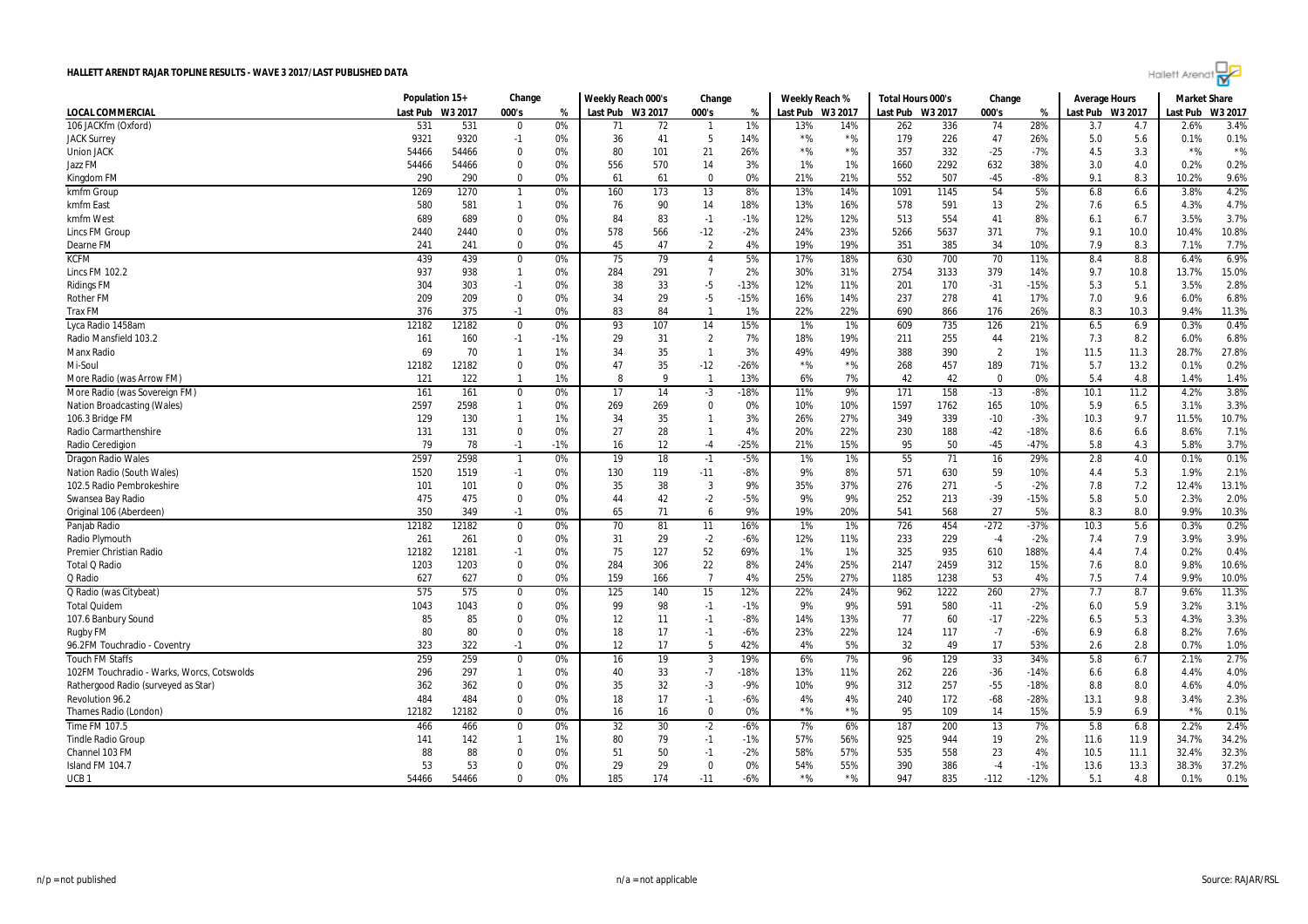

|                                            | Population 15+ |              | Change                      |          | Weekly Reach 000's |          | Change           |           | Weekly Reach % |                | Total Hours 000's |            | Change          |               | <b>Average Hours</b> |            | <b>Market Share</b> |              |
|--------------------------------------------|----------------|--------------|-----------------------------|----------|--------------------|----------|------------------|-----------|----------------|----------------|-------------------|------------|-----------------|---------------|----------------------|------------|---------------------|--------------|
| LOCAL COMMERCIAL                           | Last Pub       | W3 2017      | 000's                       | %        | Last Pub W3 2017   |          | 000's            | %         | Last Pub       | W3 2017        | Last Pub          | W3 2017    | 000's           | %             | Last Pub             | W3 2017    | Last Pub            | W3 2017      |
| 106 JACKfm (Oxford)                        | 531            | 531          | $\Omega$                    | 0%       | 71                 | 72       | - 1              | 1%        | 13%            | 14%            | 262               | 336        | 74              | 28%           | 3.7                  | 4.7        | 2.6%                | 3.4%         |
| <b>JACK Surrey</b>                         | 9321           | 9320         | $-1$                        | 0%       | 36                 | 41       | 5                | 14%       | $*$ %          | ${}^{\star}\%$ | 179               | 226        | 47              | 26%           | 5.0                  | 5.6        | 0.1%                | 0.1%         |
| <b>Union JACK</b>                          | 54466          | 54466        | $\mathbf 0$                 | 0%       | 80                 | 101      | 21               | 26%       | $*$ %          | $*$ %          | 357               | 332        | $-25$           | -7%           | 4.5                  | 3.3        | $*$ %               | $*$ %        |
| Jazz FM                                    | 54466          | 54466        | $\Omega$                    | 0%       | 556                | 570      | 14               | 3%        | $1\%$          | 1%             | 1660              | 2292       | 632             | 38%           | 3.0                  | 4.0        | 0.2%                | 0.2%         |
| Kingdom FM                                 | 290            | 290          | $\mathbf{0}$                | 0%       | 61                 | 61       | $\mathbf 0$      | 0%        | 21%            | 21%            | 552               | 507        | $-45$           | $-8%$         | 9.1                  | 8.3        | 10.2%               | 9.6%         |
| kmfm Group                                 | 1269           | 1270         | $\overline{1}$              | 0%       | 160                | 173      | 13               | 8%        | 13%            | 14%            | 1091              | 1145       | 54              | 5%            | 6.8                  | 6.6        | 3.8%                | 4.2%         |
| kmfm East                                  | 580            | 581          | $\mathbf{1}$                | 0%       | 76                 | 90       | 14               | 18%       | 13%            | 16%            | 578               | 591        | 13              | 2%            | 7.6                  | 6.5        | 4.3%                | 4.7%         |
| kmfm West                                  | 689            | 689          | $\mathbf 0$                 | 0%       | 84                 | 83       | $-1$             | $-1%$     | 12%            | 12%            | 513               | 554        | 41              | 8%            | 6.1                  | 6.7        | 3.5%                | 3.7%         |
| Lincs FM Group                             | 2440           | 2440         | $\mathbf 0$                 | 0%       | 578                | 566      | $-12$            | -2%       | 24%            | 23%            | 5266              | 5637       | 371             | 7%            | 9.1                  | 10.0       | 10.4%               | 10.8%        |
| Dearne FM                                  | 241            | 241          | $\mathbf 0$                 | 0%       | 45                 | 47       | $\overline{2}$   | 4%        | 19%            | 19%            | 351               | 385        | 34              | 10%           | 7.9                  | 8.3        | 7.1%                | 7.7%         |
| <b>KCFM</b>                                | 439            | 439          | $\mathbf 0$                 | 0%       | 75                 | 79       | $\overline{4}$   | 5%        | 17%            | 18%            | 630               | 700        | 70              | 11%           | 8.4                  | 8.8        | 6.4%                | 6.9%         |
| <b>Lincs FM 102.2</b>                      | 937            | 938          | $\overline{1}$              | 0%       | 284                | 291      | $\overline{7}$   | 2%        | 30%            | 31%            | 2754              | 3133       | 379             | 14%           | 9.7                  | 10.8       | 13.7%               | 15.0%        |
| <b>Ridings FM</b>                          | 304            | 303          | $-1$                        | 0%       | 38                 | 33       | $-5$             | $-13%$    | 12%            | 11%            | 201               | 170        | $-31$           | $-15%$        | 5.3                  | 5.1        | 3.5%                | 2.8%         |
| <b>Rother FM</b>                           | 209            | 209          | $\overline{0}$              | 0%       | 34                 | 29       | $-5$             | $-15%$    | 16%            | 14%            | 237               | 278        | 41              | 17%           | 7.0                  | 9.6        | 6.0%                | 6.8%         |
| <b>Trax FM</b>                             | 376            | 375          | $-1$                        | 0%       | 83                 | 84       | -1               | 1%        | 22%            | 22%            | 690               | 866        | 176             | 26%           | 8.3                  | 10.3       | 9.4%                | 11.3%        |
| Lyca Radio 1458am                          | 12182          | 12182        | $\mathbf 0$                 | 0%       | 93                 | 107      | 14               | 15%       | 1%             | 1%             | 609               | 735        | 126             | 21%           | 6.5                  | 6.9        | 0.3%                | 0.4%         |
| Radio Mansfield 103.2                      | 161            | 160          | $-1$                        | $-1%$    | 29                 | 31       | $\overline{2}$   | 7%        | 18%            | 19%            | 211               | 255        | 44              | 21%           | 7.3                  | 8.2        | 6.0%                | 6.8%         |
| Manx Radio                                 | 69             | 70           | $\overline{1}$              | 1%       | 34                 | 35       | $\overline{1}$   | 3%        | 49%            | 49%            | 388               | 390        | $\overline{2}$  | 1%            | 11.5                 | 11.3       | 28.7%               | 27.8%        |
| Mi-Soul                                    | 12182          | 12182        | $\mathbf 0$                 | 0%       | 47                 | 35       | $-12$            | $-26%$    | $*$ %          | $*$ %          | 268               | 457        | 189             | 71%           | 5.7                  | 13.2       | 0.1%                | 0.2%         |
| More Radio (was Arrow FM)                  | 121            | 122          | $\overline{1}$              | 1%       | 8                  | q        | $\overline{1}$   | 13%       | 6%             | 7%             | 42                | 42         | $\Omega$        | 0%            | 5.4                  | 4.8        | 1.4%                | 1.4%         |
| More Radio (was Sovereign FM)              | 161            | 161          | $\mathbf 0$                 | 0%       | 17                 | 14       | $-3$             | -18%      | 11%            | 9%             | 171               | 158        | $-13$           | $-8%$         | 10.1                 | 11.2       | 4.2%                | 3.8%         |
| Nation Broadcasting (Wales)                | 2597           | 2598         | $\overline{1}$              | 0%       | 269                | 269      | $\mathbf 0$      | 0%        | 10%            | 10%            | 1597              | 1762       | 165             | 10%           | 5.9                  | 6.5        | 3.1%                | 3.3%         |
| 106.3 Bridge FM                            | 129            | 130          | $\overline{1}$              | 1%       | 34                 | 35       | $\mathbf{1}$     | 3%        | 26%            | 27%            | 349               | 339        | $-10$           | $-3%$         | 10.3                 | 9.7        | 11.5%               | 10.7%        |
| Radio Carmarthenshire                      | 131            | 131          | $\mathbf 0$                 | 0%       | 27                 | 28       | $\overline{1}$   | 4%        | 20%            | 22%            | 230               | 188        | $-42$           | $-18%$        | 8.6                  | 6.6        | 8.6%                | 7.1%         |
| Radio Ceredigion                           | 79             | 78           | $-1$                        | -1%      | 16                 | 12       | $-4$             | -25%      | 21%            | 15%            | 95                | 50         | $-45$           | $-47%$        | 5.8                  | 4.3        | 5.8%                | 3.7%         |
| Dragon Radio Wales                         | 2597           | 2598         | $\overline{\mathbf{1}}$     | 0%       | 19                 | 18       | $-1$             | -5%       | 1%             | 1%             | 55                | 71         | 16              | 29%           | 2.8                  | 4.0        | 0.1%                | 0.1%         |
| Nation Radio (South Wales)                 | 1520           | 1519         | $-1$                        | 0%       | 130                | 119      | $-11$            | -8%       | 9%             | 8%             | 571               | 630        | 59              | 10%           | 4.4                  | 5.3        | 1.9%                | 2.1%         |
| 102.5 Radio Pembrokeshire                  | 101            | 101          | $\Omega$                    | 0%       | 35                 | 38       | $\overline{3}$   | 9%        | 35%            | 37%            | 276               | 271        | $-5$            | $-2%$         | 7.8                  | 7.2        | 12.4%               | 13.1%        |
| Swansea Bay Radio                          | 475            | 475          | $\Omega$                    | 0%       | 44                 | 42       | $-2$             | -5%       | 9%             | 9%             | 252               | 213        | $-39$           | $-15%$        | 5.8                  | 5.0        | 2.3%                | 2.0%         |
| Original 106 (Aberdeen)                    | 350            | 349          | $-1$                        | 0%       | 65                 | 71       | 6                | 9%        | 19%            | 20%            | 541               | 568        | 27              | 5%            | 8.3                  | 8.0        | 9.9%                | 10.3%        |
| Panjab Radio                               | 12182          | 12182        | $\mathbf 0$                 | 0%       | 70                 | 81       | 11               | 16%       | 1%             | 1%             | 726               | 454        | $-272$          | $-37%$        | 10.3                 | 5.6        | 0.3%                | 0.2%         |
| Radio Plymouth                             | 261            | 261          | 0                           | 0%       | 31                 | 29       | $-2$             | -6%       | 12%            | 11%            | 233               | 229        | $-4$            | $-2%$         | 7.4                  | 7.9        | 3.9%                | 3.9%         |
| <b>Premier Christian Radio</b>             | 12182          | 12181        | $-1$                        | 0%       | 75                 | 127      | 52               | 69%       | 1%             | 1%             | 325               | 935        | 610             | 188%          | 4.4                  | 7.4        | 0.2%                | 0.4%         |
| Total Q Radio                              | 1203           | 1203         | $\mathbf 0$                 | 0%       | 284                | 306      | 22               | 8%        | 24%            | 25%            | 2147              | 2459       | 312             | 15%           | 7.6                  | 8.0        | 9.8%                | 10.6%        |
| Q Radio                                    | 627            | 627          | $\Omega$                    | 0%       | 159                | 166      | $\overline{7}$   | 4%        | 25%            | 27%            | 1185              | 1238       | 53              | 4%            | 7.5                  | 7.4        | 9.9%                | 10.0%        |
| Q Radio (was Citybeat)                     | 575            | 575          | $\mathbf 0$                 | 0%       | 125                | 140      | 15               | 12%       | 22%            | 24%            | 962               | 1222       | 260             | 27%           | 7.7                  | 8.7        | 9.6%                | 11.3%        |
| <b>Total Quidem</b>                        | 1043           | 1043         | $\Omega$                    | 0%       | 99                 | 98       | $-1$             | $-1%$     | 9%             | 9%             | 591               | 580        | $-11$           | $-2%$         | 6.0                  | 5.9        | 3.2%                | 3.1%         |
| 107.6 Banbury Sound                        | 85             | 85           | 0                           | 0%       | 12                 | 11       | $-1$             | -8%       | 14%            | 13%            | 77                | 60         | $-17$           | $-22%$        | 6.5                  | 5.3        | 4.3%                | 3.3%         |
| Rugby FM                                   | 80             | 80           | $\Omega$                    | 0%       | 18                 | 17       | $-1$             | -6%       | 23%            | 22%            | 124               | 117        | $-7$            | -6%           | 6.9                  | 6.8        | 8.2%                | 7.6%         |
| 96.2FM Touchradio - Coventry               | 323            | 322          | $-1$                        | 0%       | 12                 | 17       | 5                | 42%       | 4%             | 5%             | 32                | 49         | 17              | 53%           | 2.6                  | 2.8        | 0.7%                | 1.0%         |
| <b>Touch FM Staffs</b>                     | 259            | 259          |                             |          |                    | 19       | $\overline{3}$   | 19%       |                | 7%             |                   |            | 33              | 34%           |                      |            |                     | 2.7%         |
| 102FM Touchradio - Warks, Worcs, Cotswolds | 296            | 297          | $\mathbf 0$<br>$\mathbf{1}$ | 0%<br>0% | 16                 | 33       | $-7$             | $-18%$    | 6%<br>13%      | 11%            | 96<br>262         | 129        | $-36$           | $-14%$        | 5.8                  | 6.7        | 2.1%<br>4.4%        |              |
|                                            |                |              |                             |          | 40                 |          |                  |           |                |                |                   | 226        |                 |               | 6.6                  | 6.8        |                     | 4.0%         |
| Rathergood Radio (surveyed as Star)        | 362            | 362          | $\mathbf 0$                 | 0%       | 35                 | 32       | $-3$             | -9%       | 10%            | 9%             | 312               | 257        | $-55$           | $-18%$        | 8.8                  | 8.0        | 4.6%                | 4.0%         |
| Revolution 96.2                            | 484<br>12182   | 484<br>12182 | 0<br>$\Omega$               | 0%<br>0% | 18                 | 17<br>16 | $-1$<br>$\Omega$ | -6%<br>0% | 4%<br>$*$ %    | 4%<br>$*$ %    | 240<br>95         | 172<br>109 | $-68$<br>14     | $-28%$<br>15% | 13.1<br>5.9          | 9.8<br>6.9 | 3.4%<br>$*$ %       | 2.3%<br>0.1% |
| Thames Radio (London)                      |                |              |                             |          | 16                 |          |                  |           |                |                |                   |            |                 |               |                      |            |                     |              |
| Time FM 107.5                              | 466            | 466          | $\mathbf 0$                 | 0%       | 32                 | 30       | $-2$             | $-6%$     | 7%             | 6%             | 187               | 200        | $\overline{13}$ | 7%            | 5.8                  | 6.8        | 2.2%                | 2.4%         |
| <b>Tindle Radio Group</b>                  | 141            | 142          | -1                          | 1%       | 80                 | 79       | $-1$             | $-1%$     | 57%            | 56%            | 925               | 944        | 19              | 2%            | 11.6                 | 11.9       | 34.7%               | 34.2%        |
| Channel 103 FM                             | 88             | 88<br>53     | $\mathbf{0}$                | 0%       | 51                 | 50<br>29 | $-1$             | $-2%$     | 58%            | 57%            | 535               | 558        | 23              | 4%            | 10.5                 | 11.1       | 32.4%               | 32.3%        |
| Island FM 104.7                            | 53             |              | $\Omega$<br>0               | 0%       | 29                 |          | $\mathbf 0$      | 0%        | 54%<br>$*$ %   | 55%<br>$*$ %   | 390<br>947        | 386        | $-4$            | $-1%$         | 13.6                 | 13.3       | 38.3%               | 37.2%        |
| UCB <sub>1</sub>                           | 54466          | 54466        |                             | 0%       | 185                | 174      | $-11$            | $-6%$     |                |                |                   | 835        | $-112$          | $-12%$        | 5.1                  | 4.8        | 0.1%                | 0.1%         |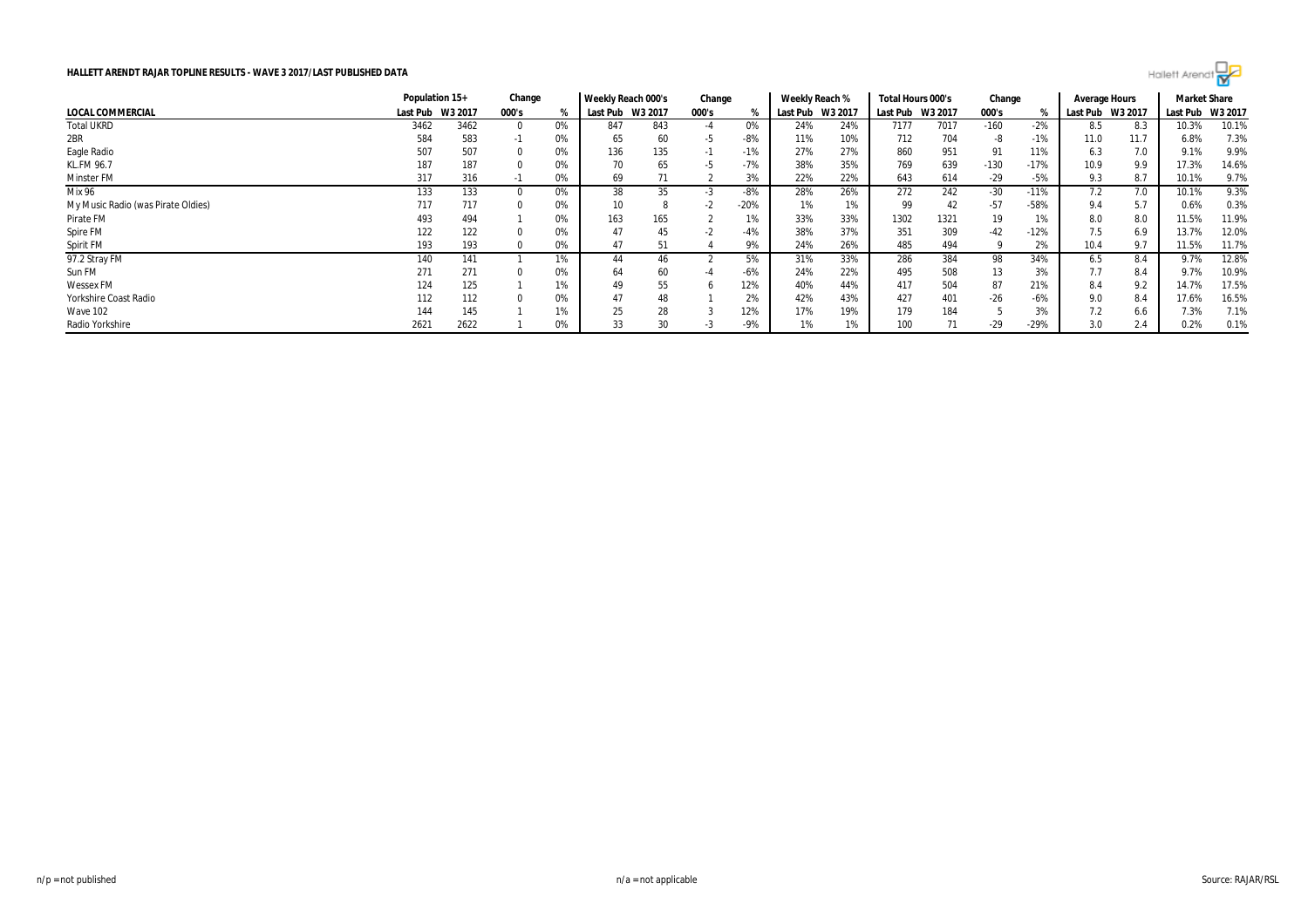|                                    | Population 15+   |      | Change |    | Weekly Reach 000's |         | Change |        | Weekly Reach % |         | Total Hours 000's |         | Change |        | Average Hours |         | <b>Market Share</b> |       |
|------------------------------------|------------------|------|--------|----|--------------------|---------|--------|--------|----------------|---------|-------------------|---------|--------|--------|---------------|---------|---------------------|-------|
| LOCAL COMMERCIAL                   | Last Pub W3 2017 |      | 000's  | %  | Last Pub           | W3 2017 | 000's  |        | Last Pub       | W3 2017 | Last Pub          | W3 2017 | 000's  |        | Last Pub      | W3 2017 | Last Pub W3 2017    |       |
| Total UKRD                         | 3462             | 3462 |        | 0% | 847                | 843     | -4     | 0%     | 24%            | 24%     | 7177              | 7017    | $-160$ | $-2%$  | 8.5           | 8.3     | 10.3%               | 10.1% |
| 2BR                                | 584              | 583  | -1     | 0% | 65                 | 60      | -5     | $-8%$  | 11%            | 10%     | 712               | 704     |        | $-1%$  | 11.0          | 11.7    | 6.8%                | 7.3%  |
| Eagle Radio                        | 507              | 507  |        | 0% | 136                | 135     |        | $-1%$  | 27%            | 27%     | 860               | 951     |        | 11%    | 6.3           | 7.0     | 9.1%                | 9.9%  |
| KL.FM 96.7                         | 187              | 187  |        | 0% |                    | 65      | -5     | $-7%$  | 38%            | 35%     | 769               | 639     | $-130$ | $-17%$ | 10.9          | 9.9     | 17.3%               | 14.6% |
| Minster FM                         | 317              | 316  | - 1    | 0% | 69                 | 71      |        | 3%     | 22%            | 22%     | 643               | 614     | $-29$  | $-5%$  | 9.3           | 8.7     | 10.1%               | 9.7%  |
| Mix 96                             | 133              | 133  |        | 0% | 38                 | 35      |        | $-8%$  | 28%            | 26%     | 272               | 242     | $-30$  | $-11%$ | 7.2           | 7.0     | 10.1%               | 9.3%  |
| My Music Radio (was Pirate Oldies) | 717              | 717  |        | 0% | 10                 |         | -2     | $-20%$ | 1%             | 1%      | 99                | 42      | -57    | -58%   | 9.4           | 5.7     | 0.6%                | 0.3%  |
| Pirate FM                          | 493              | 494  |        | 0% | 163                | 165     |        | 1%     | 33%            | 33%     | 1302              | 1321    | 19     | 1%     | 8.0           | 8.0     | 11.5%               | 11.9% |
| Spire FM                           | 122              | 122  |        | 0% | 47                 | 45      | -2     | -4%    | 38%            | 37%     | 351               | 309     | $-42$  | $-12%$ | 7.5           | 6.9     | 13.7%               | 12.0% |
| Spirit FM                          | 193              | 193  |        | 0% | 47                 | 51      |        | 9%     | 24%            | 26%     | 485               | 494     |        | 2%     | 10.4          | 9.7     | 11.5%               | 11.7% |
| 97.2 Stray FM                      | 140              | 141  |        | 1% | 44                 | 46      |        | 5%     | 31%            | 33%     | 286               | 384     | 98     | 34%    | 6.5           | 8.4     | 9.7%                | 12.8% |
| Sun FM                             | 271              | 271  |        | 0% | 64                 | 60      |        | $-6%$  | 24%            | 22%     | 495               | 508     | 13     | 3%     | 7.7           | 8.4     | 9.7%                | 10.9% |
| <b>Wessex FM</b>                   | 124              | 125  |        | 1% | 49                 | 55      |        | 12%    | 40%            | 44%     | 417               | 504     | 87     | 21%    |               | 9.2     | 14.7%               | 17.5% |
| Yorkshire Coast Radio              | 112              | 112  |        | 0% |                    | 48      |        | 2%     | 42%            | 43%     | 427               | 401     | -26    | $-6%$  | 9.0           | 8.4     | 17.6%               | 16.5% |
| <b>Wave 102</b>                    | 144              | 145  |        | 1% | 25                 | 28      |        | 12%    | 17%            | 19%     | 179               | 184     |        | 3%     |               | 6.6     | 7.3%                | 7.1%  |
| Radio Yorkshire                    | 2621             | 2622 |        | 0% |                    | 30      | -3     | $-9%$  | 1%             | 1%      | 100               | 71      | $-29$  | $-29%$ | 3.0           | 2.4     | 0.2%                | 0.1%  |

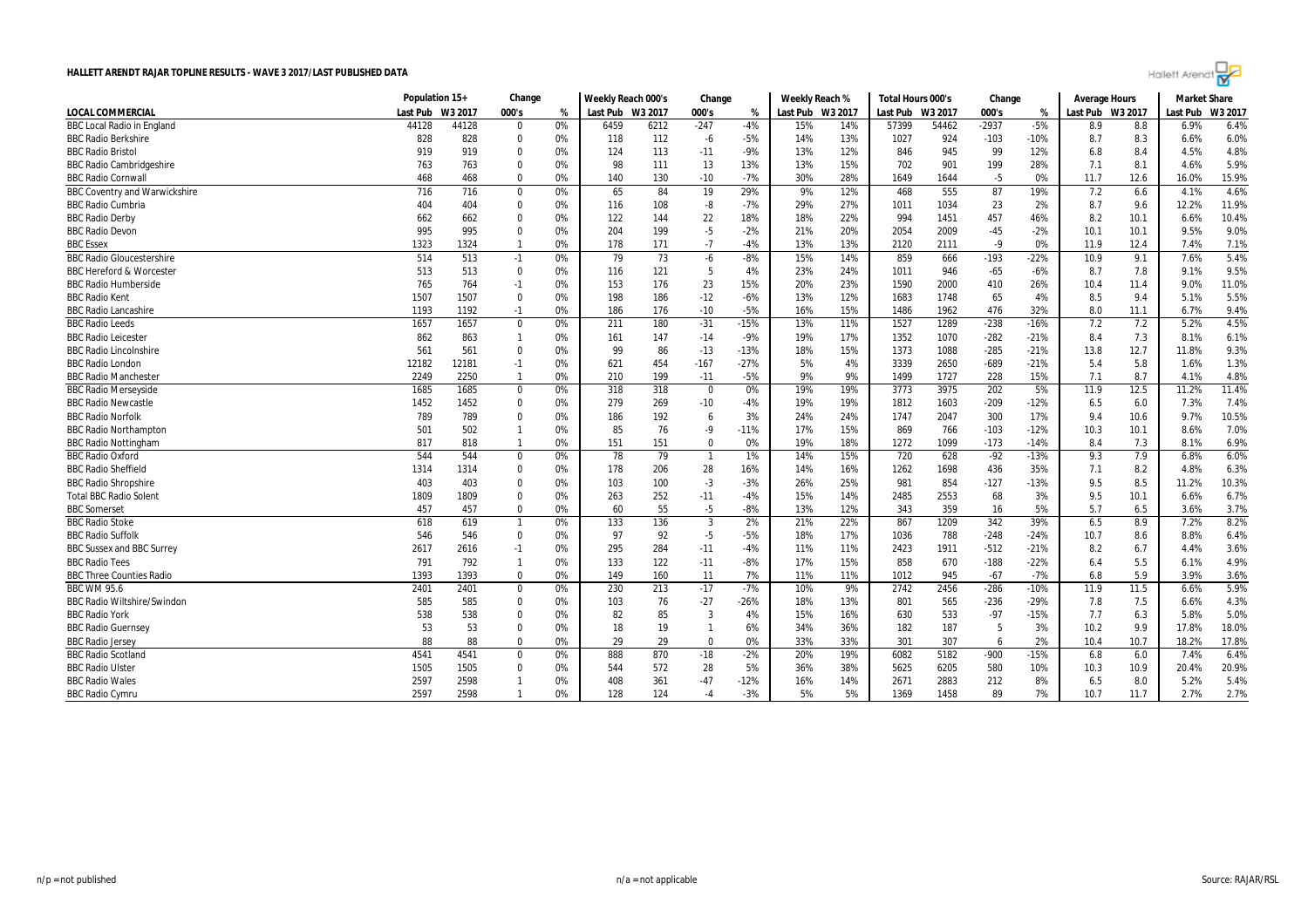

|                                      | Population 15+ |         | Change         |    | Weekly Reach 000's |      | Change         |        | Weekly Reach %   |     | Total Hours 000's |         | Change  |               | <b>Average Hours</b> |      | <b>Market Share</b> |        |
|--------------------------------------|----------------|---------|----------------|----|--------------------|------|----------------|--------|------------------|-----|-------------------|---------|---------|---------------|----------------------|------|---------------------|--------|
| <b>LOCAL COMMERCIAL</b>              | Last Pub       | W3 2017 | 000's          | %  | Last Pub W3 2017   |      | 000's          | %      | Last Pub W3 2017 |     | Last Pub          | W3 2017 | 000's   | $\frac{9}{6}$ | Last Pub W3 2017     |      | Last Pub            | W3 201 |
| <b>BBC Local Radio in England</b>    | 44128          | 44128   | $\mathbf 0$    | 0% | 6459               | 6212 | $-247$         | -4%    | 15%              | 14% | 57399             | 54462   | $-2937$ | $-5%$         | 8.9                  | 8.8  | 6.9%                | 6.4%   |
| <b>BBC Radio Berkshire</b>           | 828            | 828     | $\mathbf{0}$   | 0% | 118                | 112  | $-6$           | $-5%$  | 14%              | 13% | 1027              | 924     | $-103$  | $-10%$        | 8.7                  | 8.3  | 6.6%                | 6.0%   |
| <b>BBC Radio Bristol</b>             | 919            | 919     | $\mathbf{0}$   | 0% | 124                | 113  | $-11$          | -9%    | 13%              | 12% | 846               | 945     | 99      | 12%           | 6.8                  | 8.4  | 4.5%                | 4.8%   |
| <b>BBC Radio Cambridgeshire</b>      | 763            | 763     | $\Omega$       | 0% | 98                 | 111  | 13             | 13%    | 13%              | 15% | 702               | 901     | 199     | 28%           | 7.1                  | 8.1  | 4.6%                | 5.9%   |
| <b>BBC Radio Cornwall</b>            | 468            | 468     | $\mathbf{0}$   | 0% | 140                | 130  | $-10$          | $-7%$  | 30%              | 28% | 1649              | 1644    | $-5$    | 0%            | 11.7                 | 12.6 | 16.0%               | 15.9%  |
| <b>BBC Coventry and Warwickshire</b> | 716            | 716     | $\mathbf 0$    | 0% | 65                 | 84   | 19             | 29%    | 9%               | 12% | 468               | 555     | 87      | 19%           | 7.2                  | 6.6  | 4.1%                | 4.6%   |
| <b>BBC Radio Cumbria</b>             | 404            | 404     | $\Omega$       | 0% | 116                | 108  | -8             | $-7%$  | 29%              | 27% | 1011              | 1034    | 23      | 2%            | 8.7                  | 9.6  | 12.2%               | 11.9%  |
| <b>BBC Radio Derby</b>               | 662            | 662     | 0              | 0% | 122                | 144  | 22             | 18%    | 18%              | 22% | 994               | 1451    | 457     | 46%           | 8.2                  | 10.1 | 6.6%                | 10.4%  |
| <b>BBC Radio Devon</b>               | 995            | 995     | $\Omega$       | 0% | 204                | 199  | $-5$           | $-2%$  | 21%              | 20% | 2054              | 2009    | $-45$   | $-2%$         | 10.1                 | 10.1 | 9.5%                | 9.0%   |
| <b>BBC</b> Essex                     | 1323           | 1324    |                | 0% | 178                | 171  | $-7$           | $-4%$  | 13%              | 13% | 2120              | 2111    | $-9$    | 0%            | 11.9                 | 12.4 | 7.4%                | 7.1%   |
| <b>BBC Radio Gloucestershire</b>     | 514            | 513     | $-1$           | 0% | 79                 | 73   | -6             | -8%    | 15%              | 14% | 859               | 666     | $-193$  | $-22%$        | 10.9                 | 9.1  | 7.6%                | 5.4%   |
| <b>BBC Hereford &amp; Worcester</b>  | 513            | 513     | $\Omega$       | 0% | 116                | 121  | 5              | 4%     | 23%              | 24% | 1011              | 946     | $-65$   | $-6%$         | 8.7                  | 7.8  | 9.1%                | 9.5%   |
| <b>BBC Radio Humberside</b>          | 765            | 764     | $-1$           | 0% | 153                | 176  | 23             | 15%    | 20%              | 23% | 1590              | 2000    | 410     | 26%           | 10.4                 | 11.4 | 9.0%                | 11.0%  |
| <b>BBC Radio Kent</b>                | 1507           | 1507    | $\Omega$       | 0% | 198                | 186  | $-12$          | $-6%$  | 13%              | 12% | 1683              | 1748    | 65      | 4%            | 8.5                  | 9.4  | 5.1%                | 5.5%   |
| <b>BBC Radio Lancashire</b>          | 1193           | 1192    | $-1$           | 0% | 186                | 176  | $-10$          | $-5%$  | 16%              | 15% | 1486              | 1962    | 476     | 32%           | 8.0                  | 11.1 | 6.7%                | 9.4%   |
| <b>BBC Radio Leeds</b>               | 1657           | 1657    | $\mathbf 0$    | 0% | 211                | 180  | $-31$          | $-15%$ | 13%              | 11% | 1527              | 1289    | $-238$  | $-16%$        | 7.2                  | 7.2  | 5.2%                | 4.5%   |
| <b>BBC Radio Leicester</b>           | 862            | 863     | $\overline{1}$ | 0% | 161                | 147  | $-14$          | -9%    | 19%              | 17% | 1352              | 1070    | $-282$  | $-21%$        | 8.4                  | 7.3  | 8.1%                | 6.1%   |
| <b>BBC Radio Lincolnshire</b>        | 561            | 561     | $\Omega$       | 0% | 99                 | 86   | $-13$          | $-13%$ | 18%              | 15% | 1373              | 1088    | $-285$  | $-21%$        | 13.8                 | 12.7 | 11.8%               | 9.3%   |
| <b>BBC Radio London</b>              | 12182          | 12181   | $-1$           | 0% | 621                | 454  | $-167$         | -27%   | 5%               | 4%  | 3339              | 2650    | $-689$  | $-21%$        | 5.4                  | 5.8  | 1.6%                | 1.3%   |
| <b>BBC Radio Manchester</b>          | 2249           | 2250    | $\overline{1}$ | 0% | 210                | 199  | $-11$          | $-5%$  | 9%               | 9%  | 1499              | 1727    | 228     | 15%           | 7.1                  | 8.7  | 4.1%                | 4.8%   |
| <b>BBC Radio Merseyside</b>          | 1685           | 1685    | $\mathbf 0$    | 0% | 318                | 318  | $\overline{0}$ | 0%     | 19%              | 19% | 3773              | 3975    | 202     | 5%            | 11.9                 | 12.5 | 11.2%               | 11.4%  |
| <b>BBC Radio Newcastle</b>           | 1452           | 1452    | $\Omega$       | 0% | 279                | 269  | $-10$          | $-4%$  | 19%              | 19% | 1812              | 1603    | $-209$  | $-12%$        | 6.5                  | 6.0  | 7.3%                | 7.4%   |
| <b>BBC Radio Norfolk</b>             | 789            | 789     | 0              | 0% | 186                | 192  | 6              | 3%     | 24%              | 24% | 1747              | 2047    | 300     | 17%           | 9.4                  | 10.6 | 9.7%                | 10.5%  |
| <b>BBC Radio Northampton</b>         | 501            | 502     | $\overline{1}$ | 0% | 85                 | 76   | $-9$           | $-11%$ | 17%              | 15% | 869               | 766     | $-103$  | $-12%$        | 10.3                 | 10.1 | 8.6%                | 7.0%   |
| <b>BBC Radio Nottingham</b>          | 817            | 818     | $\overline{1}$ | 0% | 151                | 151  | $\Omega$       | 0%     | 19%              | 18% | 1272              | 1099    | $-173$  | $-14%$        | 8.4                  | 7.3  | 8.1%                | 6.9%   |
| <b>BBC Radio Oxford</b>              | 544            | 544     | $\mathbf 0$    | 0% | 78                 | 79   | $\overline{1}$ | 1%     | 14%              | 15% | 720               | 628     | $-92$   | $-13%$        | 9.3                  | 7.9  | 6.8%                | 6.0%   |
| <b>BBC Radio Sheffield</b>           | 1314           | 1314    | $\Omega$       | 0% | 178                | 206  | 28             | 16%    | 14%              | 16% | 1262              | 1698    | 436     | 35%           | 7.1                  | 8.2  | 4.8%                | 6.3%   |
| <b>BBC Radio Shropshire</b>          | 403            | 403     | $\Omega$       | 0% | 103                | 100  | $-3$           | $-3%$  | 26%              | 25% | 981               | 854     | $-127$  | $-13%$        | 9.5                  | 8.5  | 11.2%               | 10.3%  |
| <b>Total BBC Radio Solent</b>        | 1809           | 1809    | $\mathbf{0}$   | 0% | 263                | 252  | $-11$          | $-4%$  | 15%              | 14% | 2485              | 2553    | 68      | 3%            | 9.5                  | 10.1 | 6.6%                | 6.7%   |
| <b>BBC Somerset</b>                  | 457            | 457     | $\mathbf 0$    | 0% | 60                 | 55   | $-5$           | $-8%$  | 13%              | 12% | 343               | 359     | 16      | 5%            | 5.7                  | 6.5  | 3.6%                | 3.7%   |
| <b>BBC Radio Stoke</b>               | 618            | 619     | -1             | 0% | 133                | 136  | $\overline{3}$ | 2%     | 21%              | 22% | 867               | 1209    | 342     | 39%           | 6.5                  | 8.9  | 7.2%                | 8.2%   |
| <b>BBC Radio Suffolk</b>             | 546            | 546     | $\mathbf 0$    | 0% | 97                 | 92   | $-5$           | -5%    | 18%              | 17% | 1036              | 788     | $-248$  | $-24%$        | 10.7                 | 8.6  | 8.8%                | 6.4%   |
| <b>BBC Sussex and BBC Surrey</b>     | 2617           | 2616    | $-1$           | 0% | 295                | 284  | $-11$          | -4%    | 11%              | 11% | 2423              | 1911    | -512    | $-21%$        | 8.2                  | 6.7  | 4.4%                | 3.6%   |
| <b>BBC Radio Tees</b>                | 791            | 792     |                | 0% | 133                | 122  | $-11$          | $-8%$  | 17%              | 15% | 858               | 670     | $-188$  | $-22%$        | 6.4                  | 5.5  | 6.1%                | 4.9%   |
| <b>BBC Three Counties Radio</b>      | 1393           | 1393    | $\mathbf 0$    | 0% | 149                | 160  | 11             | 7%     | 11%              | 11% | 1012              | 945     | $-67$   | $-7%$         | 6.8                  | 5.9  | 3.9%                | 3.6%   |
| <b>BBC WM 95.6</b>                   | 2401           | 2401    | $\mathbf 0$    | 0% | 230                | 213  | $-17$          | $-7%$  | 10%              | 9%  | 2742              | 2456    | $-286$  | $-10%$        | 11.9                 | 11.5 | 6.6%                | 5.9%   |
| <b>BBC Radio Wiltshire/Swindon</b>   | 585            | 585     | $\mathbf{0}$   | 0% | 103                | 76   | $-27$          | $-26%$ | 18%              | 13% | 801               | 565     | $-236$  | $-29%$        | 7.8                  | 7.5  | 6.6%                | 4.3%   |
| <b>BBC Radio York</b>                | 538            | 538     | $\Omega$       | 0% | 82                 | 85   | 3              | 4%     | 15%              | 16% | 630               | 533     | $-97$   | $-15%$        | 7.7                  | 6.3  | 5.8%                | 5.0%   |
| <b>BBC Radio Guernsey</b>            | 53             | 53      | $\mathbf{0}$   | 0% | 18                 | 19   | - 1            | 6%     | 34%              | 36% | 182               | 187     | 5       | 3%            | 10.2                 | 9.9  | 17.8%               | 18.0%  |
| <b>BBC Radio Jersey</b>              | 88             | 88      | $\mathbf{0}$   | 0% | 29                 | 29   | $\mathbf{0}$   | 0%     | 33%              | 33% | 301               | 307     | 6       | 2%            | 10.4                 | 10.7 | 18.2%               | 17.8%  |
| <b>BBC Radio Scotland</b>            | 4541           | 4541    | $\Omega$       | 0% | 888                | 870  | $-18$          | $-2%$  | 20%              | 19% | 6082              | 5182    | -900    | $-15%$        | 6.8                  | 6.0  | 7.4%                | 6.4%   |
| <b>BBC Radio Ulster</b>              | 1505           | 1505    | 0              | 0% | 544                | 572  | 28             | 5%     | 36%              | 38% | 5625              | 6205    | 580     | 10%           | 10.3                 | 10.9 | 20.4%               | 20.9%  |
| <b>BBC Radio Wales</b>               | 2597           | 2598    |                | 0% | 408                | 361  | $-47$          | $-12%$ | 16%              | 14% | 2671              | 2883    | 212     | 8%            | 6.5                  | 8.0  | 5.2%                | 5.4%   |
| <b>BBC Radio Cymru</b>               | 2597           | 2598    | $\overline{1}$ | 0% | 128                | 124  | $-4$           | $-3%$  | 5%               | 5%  | 1369              | 1458    | 89      | 7%            | 10.7                 | 117  | 2.7%                | 2.7%   |